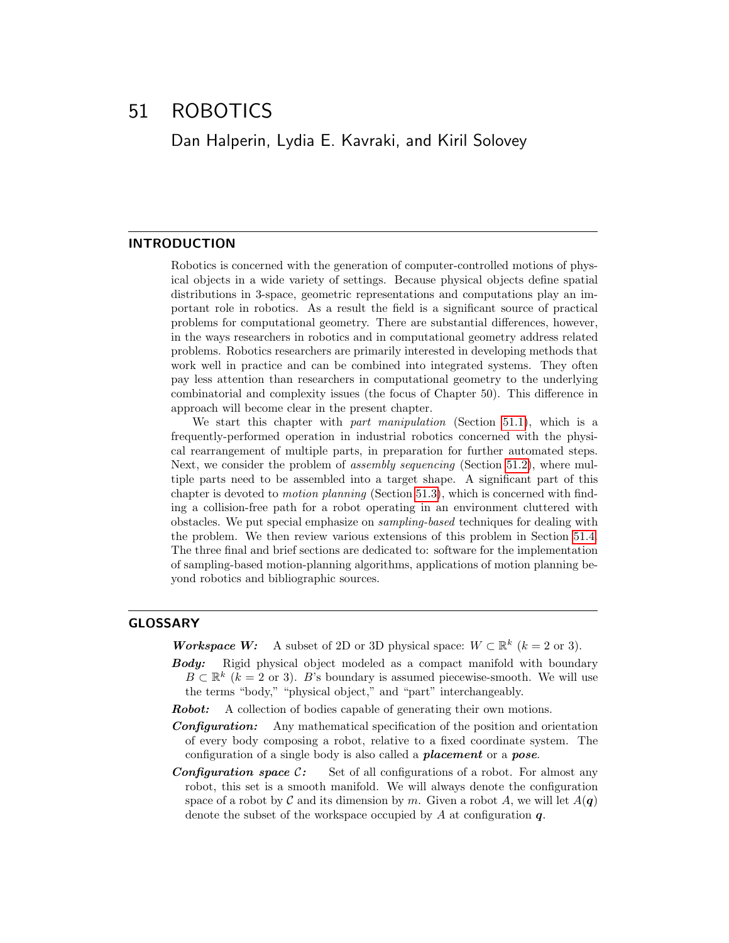# 51 ROBOTICS

Dan Halperin, Lydia E. Kavraki, and Kiril Solovey

## INTRODUCTION

Robotics is concerned with the generation of computer-controlled motions of physical objects in a wide variety of settings. Because physical objects define spatial distributions in 3-space, geometric representations and computations play an important role in robotics. As a result the field is a significant source of practical problems for computational geometry. There are substantial differences, however, in the ways researchers in robotics and in computational geometry address related problems. Robotics researchers are primarily interested in developing methods that work well in practice and can be combined into integrated systems. They often pay less attention than researchers in computational geometry to the underlying combinatorial and complexity issues (the focus of Chapter 50). This difference in approach will become clear in the present chapter.

We start this chapter with *part manipulation* (Section [51.1\)](#page-1-0), which is a frequently-performed operation in industrial robotics concerned with the physical rearrangement of multiple parts, in preparation for further automated steps. Next, we consider the problem of assembly sequencing (Section [51.2\)](#page-5-0), where multiple parts need to be assembled into a target shape. A significant part of this chapter is devoted to motion planning (Section [51.3\)](#page-8-0), which is concerned with finding a collision-free path for a robot operating in an environment cluttered with obstacles. We put special emphasize on sampling-based techniques for dealing with the problem. We then review various extensions of this problem in Section [51.4.](#page-11-0) The three final and brief sections are dedicated to: software for the implementation of sampling-based motion-planning algorithms, applications of motion planning beyond robotics and bibliographic sources.

## GLOSSARY

*Workspace W:* A subset of 2D or 3D physical space:  $W \subset \mathbb{R}^k$   $(k = 2 \text{ or } 3)$ .

- **Body:** Rigid physical object modeled as a compact manifold with boundary  $B \subset \mathbb{R}^k$  ( $k = 2$  or 3). B's boundary is assumed piecewise-smooth. We will use the terms "body," "physical object," and "part" interchangeably.
- **Robot:** A collection of bodies capable of generating their own motions.
- **Configuration:** Any mathematical specification of the position and orientation of every body composing a robot, relative to a fixed coordinate system. The configuration of a single body is also called a **placement** or a **pose**.
- **Configuration space C:** Set of all configurations of a robot. For almost any robot, this set is a smooth manifold. We will always denote the configuration space of a robot by C and its dimension by m. Given a robot A, we will let  $A(q)$ denote the subset of the workspace occupied by  $A$  at configuration  $q$ .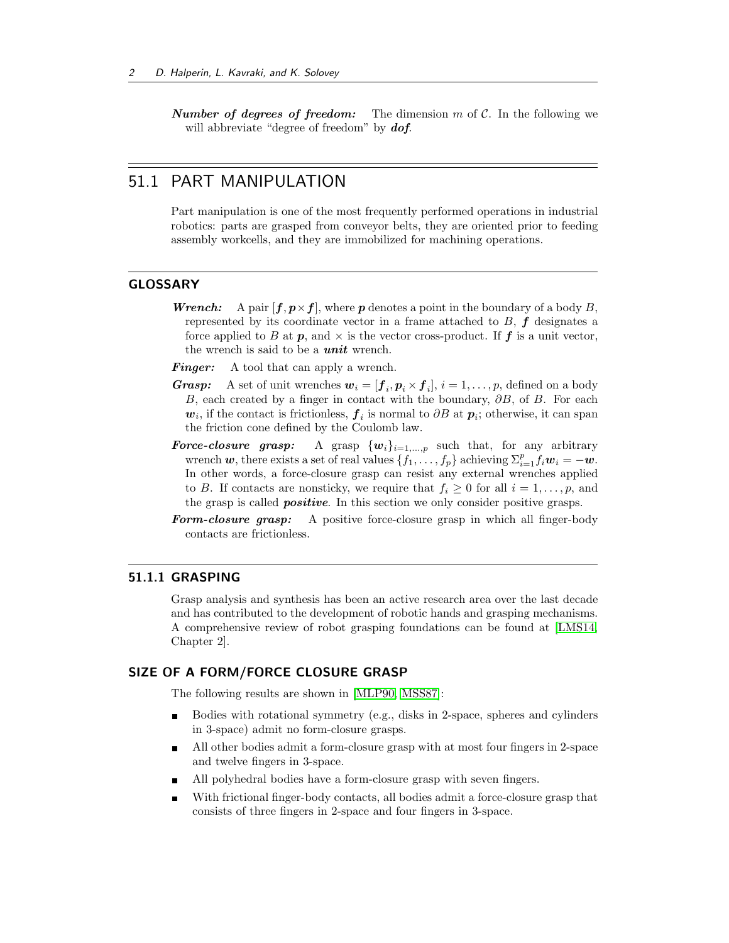**Number of degrees of freedom:** The dimension  $m$  of  $C$ . In the following we will abbreviate "degree of freedom" by *dof.* 

## 51.1 PART MANIPULATION

<span id="page-1-0"></span>Part manipulation is one of the most frequently performed operations in industrial robotics: parts are grasped from conveyor belts, they are oriented prior to feeding assembly workcells, and they are immobilized for machining operations.

## GLOSSARY

**Wrench:** A pair  $[f, p \times f]$ , where p denotes a point in the boundary of a body B, represented by its coordinate vector in a frame attached to  $B$ ,  $f$  designates a force applied to B at p, and  $\times$  is the vector cross-product. If f is a unit vector, the wrench is said to be a  $unit$  wrench.

Finger: A tool that can apply a wrench.

- **Grasp:** A set of unit wrenches  $w_i = [f_i, p_i \times f_i], i = 1, \ldots, p$ , defined on a body B, each created by a finger in contact with the boundary,  $\partial B$ , of B. For each  $w_i$ , if the contact is frictionless,  $f_i$  is normal to  $\partial B$  at  $p_i$ ; otherwise, it can span the friction cone defined by the Coulomb law.
- Force-closure grasp: A grasp  $\{w_i\}_{i=1,\dots,p}$  such that, for any arbitrary wrench w, there exists a set of real values  $\{f_1, \ldots, f_p\}$  achieving  $\Sigma_{i=1}^p f_i \mathbf{w}_i = -\mathbf{w}$ . In other words, a force-closure grasp can resist any external wrenches applied to B. If contacts are nonsticky, we require that  $f_i \geq 0$  for all  $i = 1, \ldots, p$ , and the grasp is called **positive**. In this section we only consider positive grasps.
- Form-closure grasp: A positive force-closure grasp in which all finger-body contacts are frictionless.

### 51.1.1 GRASPING

Grasp analysis and synthesis has been an active research area over the last decade and has contributed to the development of robotic hands and grasping mechanisms. A comprehensive review of robot grasping foundations can be found at [\[LMS14,](#page-27-0) Chapter 2].

#### SIZE OF A FORM/FORCE CLOSURE GRASP

The following results are shown in [\[MLP90,](#page-28-0) [MSS87\]](#page-28-1):

- Bodies with rotational symmetry (e.g., disks in 2-space, spheres and cylinders in 3-space) admit no form-closure grasps.
- All other bodies admit a form-closure grasp with at most four fingers in 2-space and twelve fingers in 3-space.
- All polyhedral bodies have a form-closure grasp with seven fingers.
- With frictional finger-body contacts, all bodies admit a force-closure grasp that consists of three fingers in 2-space and four fingers in 3-space.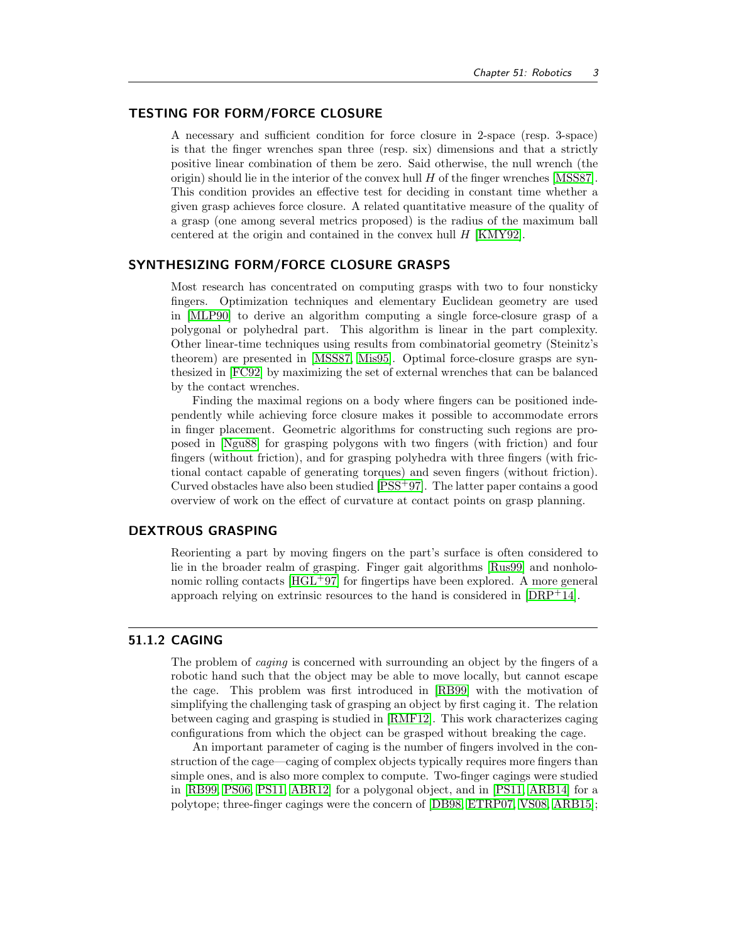## TESTING FOR FORM/FORCE CLOSURE

A necessary and sufficient condition for force closure in 2-space (resp. 3-space) is that the finger wrenches span three (resp. six) dimensions and that a strictly positive linear combination of them be zero. Said otherwise, the null wrench (the origin) should lie in the interior of the convex hull  $H$  of the finger wrenches [\[MSS87\]](#page-28-1). This condition provides an effective test for deciding in constant time whether a given grasp achieves force closure. A related quantitative measure of the quality of a grasp (one among several metrics proposed) is the radius of the maximum ball centered at the origin and contained in the convex hull H [\[KMY92\]](#page-26-0).

### SYNTHESIZING FORM/FORCE CLOSURE GRASPS

Most research has concentrated on computing grasps with two to four nonsticky fingers. Optimization techniques and elementary Euclidean geometry are used in [\[MLP90\]](#page-28-0) to derive an algorithm computing a single force-closure grasp of a polygonal or polyhedral part. This algorithm is linear in the part complexity. Other linear-time techniques using results from combinatorial geometry (Steinitz's theorem) are presented in [\[MSS87,](#page-28-1) [Mis95\]](#page-28-2). Optimal force-closure grasps are synthesized in [\[FC92\]](#page-23-0) by maximizing the set of external wrenches that can be balanced by the contact wrenches.

Finding the maximal regions on a body where fingers can be positioned independently while achieving force closure makes it possible to accommodate errors in finger placement. Geometric algorithms for constructing such regions are proposed in [\[Ngu88\]](#page-28-3) for grasping polygons with two fingers (with friction) and four fingers (without friction), and for grasping polyhedra with three fingers (with frictional contact capable of generating torques) and seven fingers (without friction). Curved obstacles have also been studied [\[PSS](#page-29-0)+97]. The latter paper contains a good overview of work on the effect of curvature at contact points on grasp planning.

## DEXTROUS GRASPING

Reorienting a part by moving fingers on the part's surface is often considered to lie in the broader realm of grasping. Finger gait algorithms [\[Rus99\]](#page-29-1) and nonholonomic rolling contacts [\[HGL](#page-24-0)+97] for fingertips have been explored. A more general approach relying on extrinsic resources to the hand is considered in [\[DRP](#page-23-1)+14].

## 51.1.2 CAGING

The problem of caging is concerned with surrounding an object by the fingers of a robotic hand such that the object may be able to move locally, but cannot escape the cage. This problem was first introduced in [\[RB99\]](#page-29-2) with the motivation of simplifying the challenging task of grasping an object by first caging it. The relation between caging and grasping is studied in [\[RMF12\]](#page-29-3). This work characterizes caging configurations from which the object can be grasped without breaking the cage.

An important parameter of caging is the number of fingers involved in the construction of the cage—caging of complex objects typically requires more fingers than simple ones, and is also more complex to compute. Two-finger cagings were studied in [\[RB99,](#page-29-2) [PS06,](#page-29-4) [PS11,](#page-29-5) [ABR12\]](#page-20-0) for a polygonal object, and in [\[PS11,](#page-29-5) [ARB14\]](#page-20-1) for a polytope; three-finger cagings were the concern of [\[DB98,](#page-22-0) [ETRP07,](#page-23-2) [VS08,](#page-31-0) [ARB15\]](#page-20-2);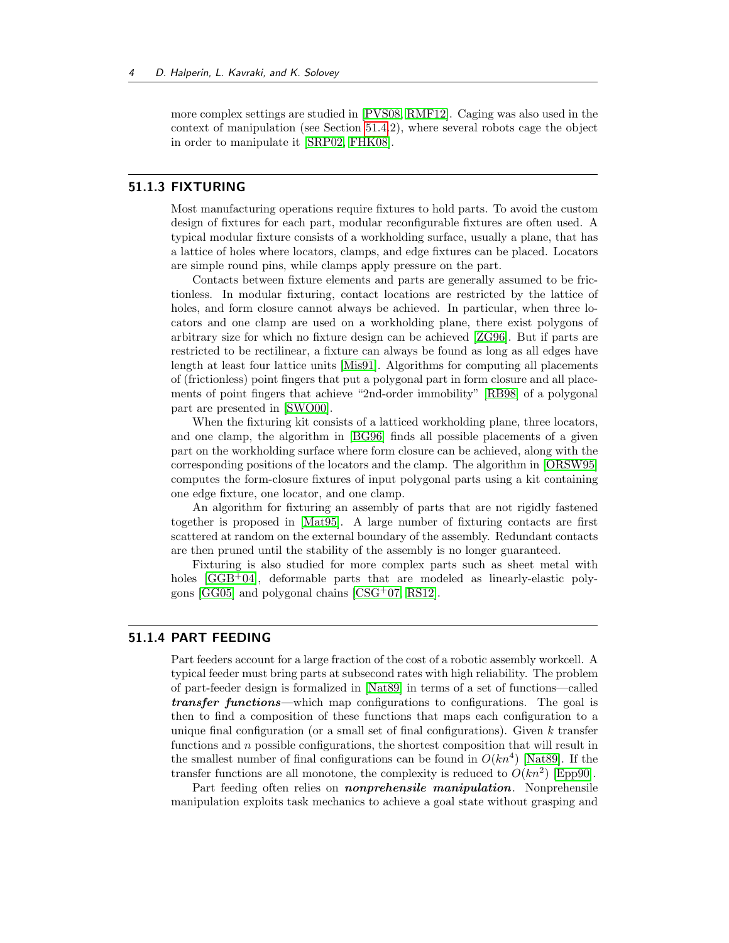more complex settings are studied in [\[PVS08,](#page-29-6) [RMF12\]](#page-29-3). Caging was also used in the context of manipulation (see Section [51.4.](#page-11-0)2), where several robots cage the object in order to manipulate it [\[SRP02,](#page-31-1) [FHK08\]](#page-23-3).

## 51.1.3 FIXTURING

Most manufacturing operations require fixtures to hold parts. To avoid the custom design of fixtures for each part, modular reconfigurable fixtures are often used. A typical modular fixture consists of a workholding surface, usually a plane, that has a lattice of holes where locators, clamps, and edge fixtures can be placed. Locators are simple round pins, while clamps apply pressure on the part.

Contacts between fixture elements and parts are generally assumed to be frictionless. In modular fixturing, contact locations are restricted by the lattice of holes, and form closure cannot always be achieved. In particular, when three locators and one clamp are used on a workholding plane, there exist polygons of arbitrary size for which no fixture design can be achieved [\[ZG96\]](#page-32-0). But if parts are restricted to be rectilinear, a fixture can always be found as long as all edges have length at least four lattice units [\[Mis91\]](#page-28-4). Algorithms for computing all placements of (frictionless) point fingers that put a polygonal part in form closure and all placements of point fingers that achieve "2nd-order immobility" [\[RB98\]](#page-29-7) of a polygonal part are presented in [\[SWO00\]](#page-31-2).

When the fixturing kit consists of a latticed workholding plane, three locators, and one clamp, the algorithm in [\[BG96\]](#page-21-0) finds all possible placements of a given part on the workholding surface where form closure can be achieved, along with the corresponding positions of the locators and the clamp. The algorithm in [\[ORSW95\]](#page-28-5) computes the form-closure fixtures of input polygonal parts using a kit containing one edge fixture, one locator, and one clamp.

An algorithm for fixturing an assembly of parts that are not rigidly fastened together is proposed in [\[Mat95\]](#page-28-6). A large number of fixturing contacts are first scattered at random on the external boundary of the assembly. Redundant contacts are then pruned until the stability of the assembly is no longer guaranteed.

Fixturing is also studied for more complex parts such as sheet metal with holes  $[GGB^+04]$  $[GGB^+04]$ , deformable parts that are modeled as linearly-elastic poly-gons [\[GG05\]](#page-23-5) and polygonal chains  $[CSG<sup>+</sup>07, RS12]$  $[CSG<sup>+</sup>07, RS12]$  $[CSG<sup>+</sup>07, RS12]$ .

## 51.1.4 PART FEEDING

Part feeders account for a large fraction of the cost of a robotic assembly workcell. A typical feeder must bring parts at subsecond rates with high reliability. The problem of part-feeder design is formalized in [\[Nat89\]](#page-28-7) in terms of a set of functions—called transfer functions—which map configurations to configurations. The goal is then to find a composition of these functions that maps each configuration to a unique final configuration (or a small set of final configurations). Given  $k$  transfer functions and n possible configurations, the shortest composition that will result in the smallest number of final configurations can be found in  $O(kn^4)$  [\[Nat89\]](#page-28-7). If the transfer functions are all monotone, the complexity is reduced to  $O(kn^2)$  [\[Epp90\]](#page-23-6).

Part feeding often relies on *nonprehensile manipulation*. Nonprehensile manipulation exploits task mechanics to achieve a goal state without grasping and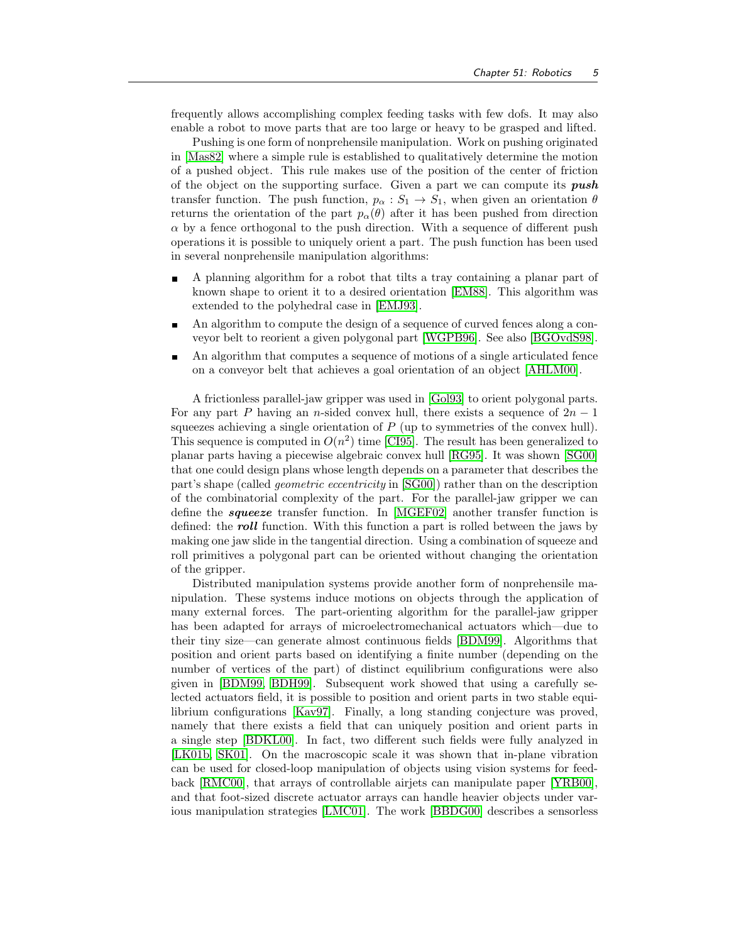frequently allows accomplishing complex feeding tasks with few dofs. It may also enable a robot to move parts that are too large or heavy to be grasped and lifted.

Pushing is one form of nonprehensile manipulation. Work on pushing originated in [\[Mas82\]](#page-28-8) where a simple rule is established to qualitatively determine the motion of a pushed object. This rule makes use of the position of the center of friction of the object on the supporting surface. Given a part we can compute its push transfer function. The push function,  $p_{\alpha}: S_1 \to S_1$ , when given an orientation  $\theta$ returns the orientation of the part  $p_{\alpha}(\theta)$  after it has been pushed from direction  $\alpha$  by a fence orthogonal to the push direction. With a sequence of different push operations it is possible to uniquely orient a part. The push function has been used in several nonprehensile manipulation algorithms:

- A planning algorithm for a robot that tilts a tray containing a planar part of  $\blacksquare$ known shape to orient it to a desired orientation [\[EM88\]](#page-23-7). This algorithm was extended to the polyhedral case in [\[EMJ93\]](#page-23-8).
- An algorithm to compute the design of a sequence of curved fences along a con- $\blacksquare$ veyor belt to reorient a given polygonal part [\[WGPB96\]](#page-32-1). See also [\[BGOvdS98\]](#page-21-1).
- An algorithm that computes a sequence of motions of a single articulated fence  $\blacksquare$ on a conveyor belt that achieves a goal orientation of an object [\[AHLM00\]](#page-20-3).

A frictionless parallel-jaw gripper was used in [\[Gol93\]](#page-24-1) to orient polygonal parts. For any part P having an n-sided convex hull, there exists a sequence of  $2n - 1$ squeezes achieving a single orientation of  $P$  (up to symmetries of the convex hull). This sequence is computed in  $O(n^2)$  time [\[CI95\]](#page-22-2). The result has been generalized to planar parts having a piecewise algebraic convex hull [\[RG95\]](#page-29-9). It was shown [\[SG00\]](#page-30-0) that one could design plans whose length depends on a parameter that describes the part's shape (called geometric eccentricity in [\[SG00\]](#page-30-0)) rather than on the description of the combinatorial complexity of the part. For the parallel-jaw gripper we can define the squeeze transfer function. In [\[MGEF02\]](#page-28-9) another transfer function is defined: the **roll** function. With this function a part is rolled between the jaws by making one jaw slide in the tangential direction. Using a combination of squeeze and roll primitives a polygonal part can be oriented without changing the orientation of the gripper.

Distributed manipulation systems provide another form of nonprehensile manipulation. These systems induce motions on objects through the application of many external forces. The part-orienting algorithm for the parallel-jaw gripper has been adapted for arrays of microelectromechanical actuators which—due to their tiny size—can generate almost continuous fields [\[BDM99\]](#page-21-2). Algorithms that position and orient parts based on identifying a finite number (depending on the number of vertices of the part) of distinct equilibrium configurations were also given in [\[BDM99,](#page-21-2) [BDH99\]](#page-21-3). Subsequent work showed that using a carefully selected actuators field, it is possible to position and orient parts in two stable equilibrium configurations [\[Kav97\]](#page-25-0). Finally, a long standing conjecture was proved, namely that there exists a field that can uniquely position and orient parts in a single step [\[BDKL00\]](#page-21-4). In fact, two different such fields were fully analyzed in [\[LK01b,](#page-27-1) [SK01\]](#page-30-1). On the macroscopic scale it was shown that in-plane vibration can be used for closed-loop manipulation of objects using vision systems for feedback [\[RMC00\]](#page-29-10), that arrays of controllable airjets can manipulate paper [\[YRB00\]](#page-32-2), and that foot-sized discrete actuator arrays can handle heavier objects under various manipulation strategies [\[LMC01\]](#page-27-2). The work [\[BBDG00\]](#page-21-5) describes a sensorless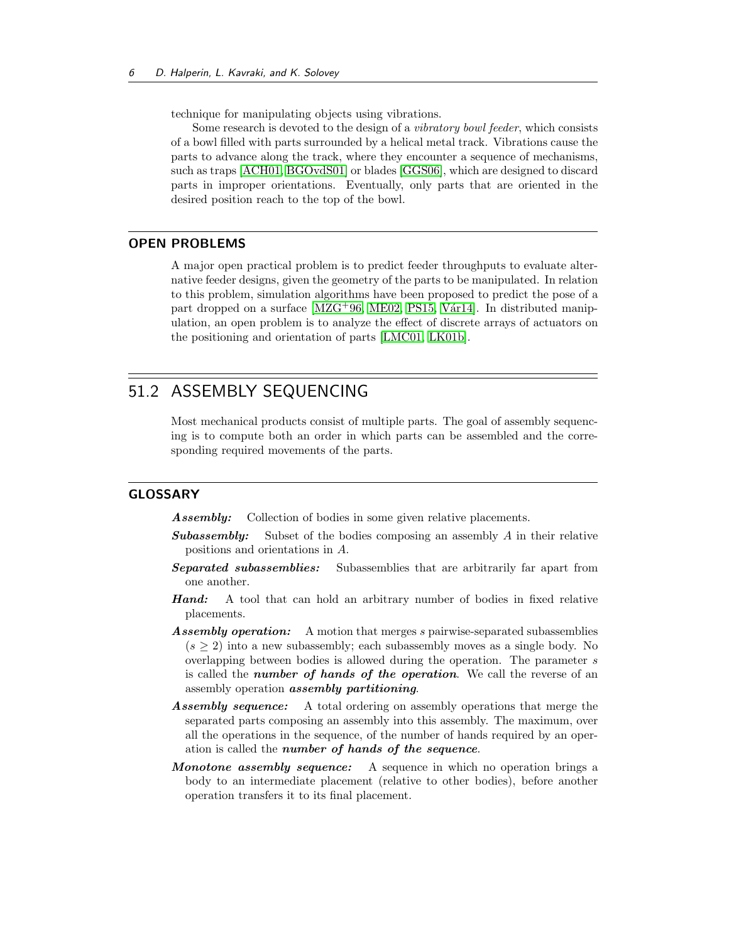technique for manipulating objects using vibrations.

Some research is devoted to the design of a vibratory bowl feeder, which consists of a bowl filled with parts surrounded by a helical metal track. Vibrations cause the parts to advance along the track, where they encounter a sequence of mechanisms, such as traps [\[ACH01,](#page-20-4) [BGOvdS01\]](#page-21-6) or blades [\[GGS06\]](#page-24-2), which are designed to discard parts in improper orientations. Eventually, only parts that are oriented in the desired position reach to the top of the bowl.

## OPEN PROBLEMS

A major open practical problem is to predict feeder throughputs to evaluate alternative feeder designs, given the geometry of the parts to be manipulated. In relation to this problem, simulation algorithms have been proposed to predict the pose of a part dropped on a surface [\[MZG](#page-28-10)+96, [ME02,](#page-28-11) [PS15,](#page-29-11) Vár14]. In distributed manipulation, an open problem is to analyze the effect of discrete arrays of actuators on the positioning and orientation of parts [\[LMC01,](#page-27-2) [LK01b\]](#page-27-1).

## 51.2 ASSEMBLY SEQUENCING

<span id="page-5-0"></span>Most mechanical products consist of multiple parts. The goal of assembly sequencing is to compute both an order in which parts can be assembled and the corresponding required movements of the parts.

#### GLOSSARY

**Assembly:** Collection of bodies in some given relative placements.

- **Subassembly:** Subset of the bodies composing an assembly  $A$  in their relative positions and orientations in A.
- Separated subassemblies: Subassemblies that are arbitrarily far apart from one another.
- **Hand:** A tool that can hold an arbitrary number of bodies in fixed relative placements.
- **Assembly operation:** A motion that merges s pairwise-separated subassemblies  $(s \geq 2)$  into a new subassembly; each subassembly moves as a single body. No overlapping between bodies is allowed during the operation. The parameter  $s$ is called the *number* of hands of the operation. We call the reverse of an assembly operation assembly partitioning.
- Assembly sequence: A total ordering on assembly operations that merge the separated parts composing an assembly into this assembly. The maximum, over all the operations in the sequence, of the number of hands required by an operation is called the number of hands of the sequence.
- **Monotone assembly sequence:** A sequence in which no operation brings a body to an intermediate placement (relative to other bodies), before another operation transfers it to its final placement.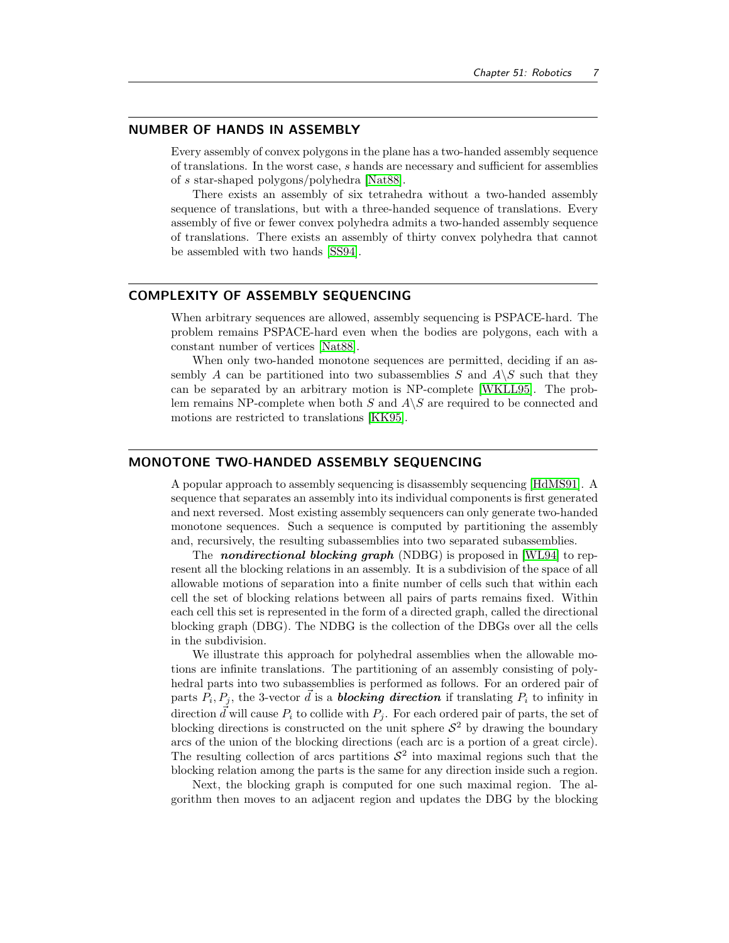#### NUMBER OF HANDS IN ASSEMBLY

Every assembly of convex polygons in the plane has a two-handed assembly sequence of translations. In the worst case, s hands are necessary and sufficient for assemblies of s star-shaped polygons/polyhedra [\[Nat88\]](#page-28-12).

There exists an assembly of six tetrahedra without a two-handed assembly sequence of translations, but with a three-handed sequence of translations. Every assembly of five or fewer convex polyhedra admits a two-handed assembly sequence of translations. There exists an assembly of thirty convex polyhedra that cannot be assembled with two hands [\[SS94\]](#page-31-4).

## COMPLEXITY OF ASSEMBLY SEQUENCING

When arbitrary sequences are allowed, assembly sequencing is PSPACE-hard. The problem remains PSPACE-hard even when the bodies are polygons, each with a constant number of vertices [\[Nat88\]](#page-28-12).

When only two-handed monotone sequences are permitted, deciding if an assembly A can be partitioned into two subassemblies S and  $A\backslash S$  such that they can be separated by an arbitrary motion is NP-complete [\[WKLL95\]](#page-32-3). The problem remains NP-complete when both S and  $A\$ S are required to be connected and motions are restricted to translations [\[KK95\]](#page-25-1).

#### MONOTONE TWO-HANDED ASSEMBLY SEQUENCING

A popular approach to assembly sequencing is disassembly sequencing [\[HdMS91\]](#page-24-3). A sequence that separates an assembly into its individual components is first generated and next reversed. Most existing assembly sequencers can only generate two-handed monotone sequences. Such a sequence is computed by partitioning the assembly and, recursively, the resulting subassemblies into two separated subassemblies.

The nondirectional blocking graph (NDBG) is proposed in [\[WL94\]](#page-32-4) to represent all the blocking relations in an assembly. It is a subdivision of the space of all allowable motions of separation into a finite number of cells such that within each cell the set of blocking relations between all pairs of parts remains fixed. Within each cell this set is represented in the form of a directed graph, called the directional blocking graph (DBG). The NDBG is the collection of the DBGs over all the cells in the subdivision.

We illustrate this approach for polyhedral assemblies when the allowable motions are infinite translations. The partitioning of an assembly consisting of polyhedral parts into two subassemblies is performed as follows. For an ordered pair of parts  $P_i, P_j$ , the 3-vector  $\vec{d}$  is a **blocking direction** if translating  $P_i$  to infinity in direction  $\vec{d}$  will cause  $P_i$  to collide with  $P_j$ . For each ordered pair of parts, the set of blocking directions is constructed on the unit sphere  $S^2$  by drawing the boundary arcs of the union of the blocking directions (each arc is a portion of a great circle). The resulting collection of arcs partitions  $S^2$  into maximal regions such that the blocking relation among the parts is the same for any direction inside such a region.

Next, the blocking graph is computed for one such maximal region. The algorithm then moves to an adjacent region and updates the DBG by the blocking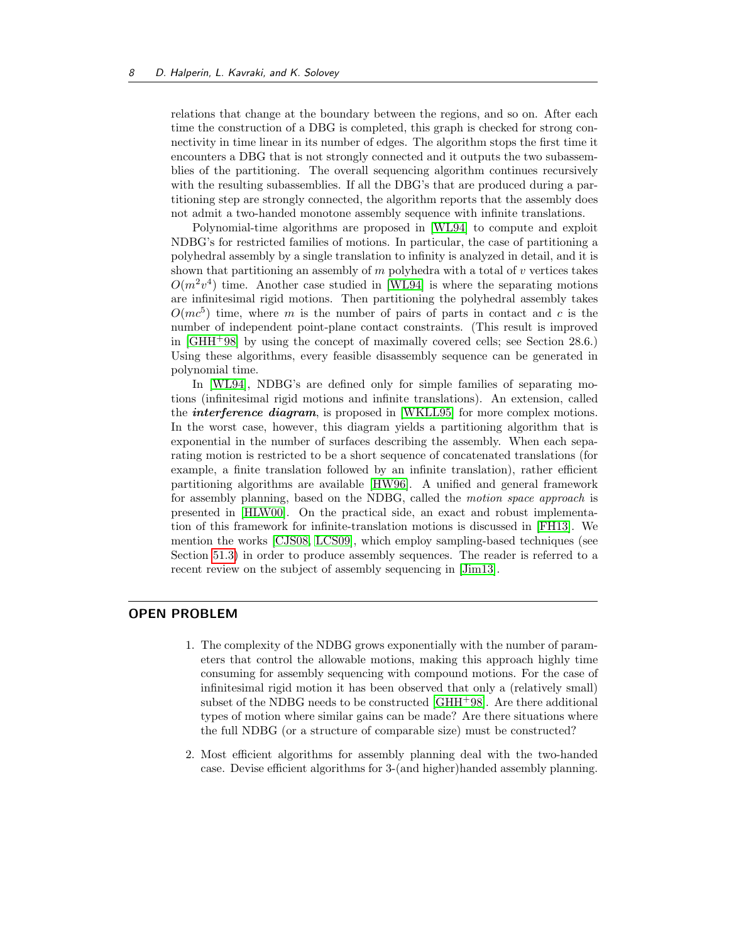relations that change at the boundary between the regions, and so on. After each time the construction of a DBG is completed, this graph is checked for strong connectivity in time linear in its number of edges. The algorithm stops the first time it encounters a DBG that is not strongly connected and it outputs the two subassemblies of the partitioning. The overall sequencing algorithm continues recursively with the resulting subassemblies. If all the DBG's that are produced during a partitioning step are strongly connected, the algorithm reports that the assembly does not admit a two-handed monotone assembly sequence with infinite translations.

Polynomial-time algorithms are proposed in [\[WL94\]](#page-32-4) to compute and exploit NDBG's for restricted families of motions. In particular, the case of partitioning a polyhedral assembly by a single translation to infinity is analyzed in detail, and it is shown that partitioning an assembly of  $m$  polyhedra with a total of  $v$  vertices takes  $O(m^2v^4)$  time. Another case studied in [\[WL94\]](#page-32-4) is where the separating motions are infinitesimal rigid motions. Then partitioning the polyhedral assembly takes  $O(mc^5)$  time, where m is the number of pairs of parts in contact and c is the number of independent point-plane contact constraints. (This result is improved in [\[GHH](#page-24-4)+98] by using the concept of maximally covered cells; see Section 28.6.) Using these algorithms, every feasible disassembly sequence can be generated in polynomial time.

In [\[WL94\]](#page-32-4), NDBG's are defined only for simple families of separating motions (infinitesimal rigid motions and infinite translations). An extension, called the *interference diagram*, is proposed in [\[WKLL95\]](#page-32-3) for more complex motions. In the worst case, however, this diagram yields a partitioning algorithm that is exponential in the number of surfaces describing the assembly. When each separating motion is restricted to be a short sequence of concatenated translations (for example, a finite translation followed by an infinite translation), rather efficient partitioning algorithms are available [\[HW96\]](#page-25-2). A unified and general framework for assembly planning, based on the NDBG, called the motion space approach is presented in [\[HLW00\]](#page-24-5). On the practical side, an exact and robust implementation of this framework for infinite-translation motions is discussed in [\[FH13\]](#page-23-9). We mention the works [\[CJS08,](#page-22-3) [LCS09\]](#page-26-1), which employ sampling-based techniques (see Section [51.3\)](#page-8-0) in order to produce assembly sequences. The reader is referred to a recent review on the subject of assembly sequencing in [\[Jim13\]](#page-25-3).

#### OPEN PROBLEM

- 1. The complexity of the NDBG grows exponentially with the number of parameters that control the allowable motions, making this approach highly time consuming for assembly sequencing with compound motions. For the case of infinitesimal rigid motion it has been observed that only a (relatively small) subset of the NDBG needs to be constructed [\[GHH](#page-24-4)<sup>+</sup>98]. Are there additional types of motion where similar gains can be made? Are there situations where the full NDBG (or a structure of comparable size) must be constructed?
- 2. Most efficient algorithms for assembly planning deal with the two-handed case. Devise efficient algorithms for 3-(and higher)handed assembly planning.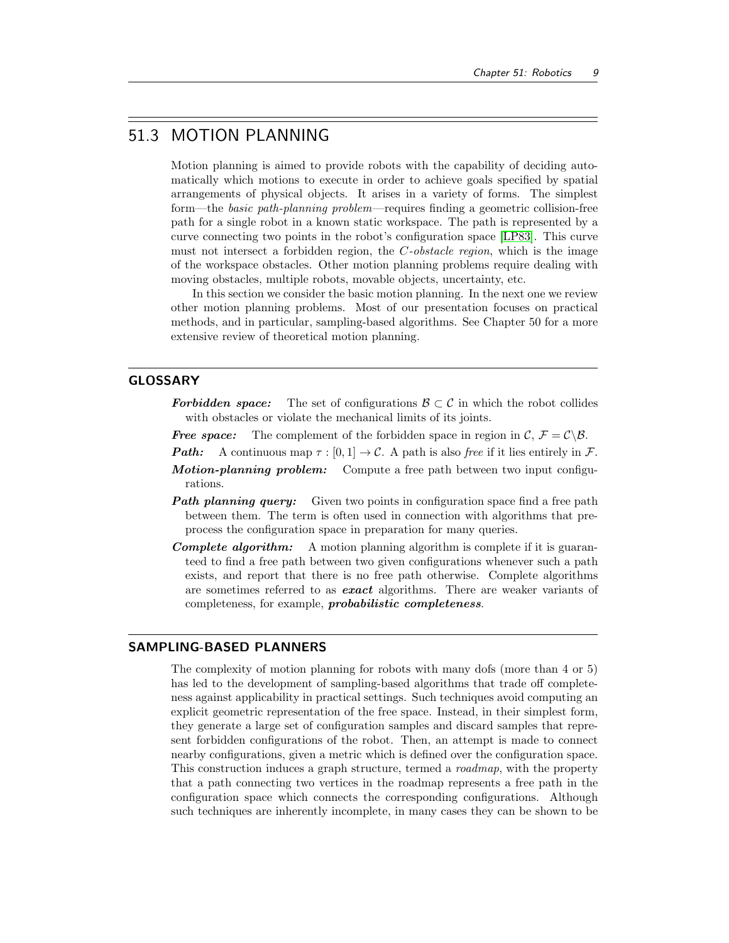## 51.3 MOTION PLANNING

<span id="page-8-0"></span>Motion planning is aimed to provide robots with the capability of deciding automatically which motions to execute in order to achieve goals specified by spatial arrangements of physical objects. It arises in a variety of forms. The simplest form—the basic path-planning problem—requires finding a geometric collision-free path for a single robot in a known static workspace. The path is represented by a curve connecting two points in the robot's configuration space [\[LP83\]](#page-27-3). This curve must not intersect a forbidden region, the C-obstacle region, which is the image of the workspace obstacles. Other motion planning problems require dealing with moving obstacles, multiple robots, movable objects, uncertainty, etc.

In this section we consider the basic motion planning. In the next one we review other motion planning problems. Most of our presentation focuses on practical methods, and in particular, sampling-based algorithms. See Chapter 50 for a more extensive review of theoretical motion planning.

## GLOSSARY

- Forbidden space: The set of configurations  $\mathcal{B} \subset \mathcal{C}$  in which the robot collides with obstacles or violate the mechanical limits of its joints.
- **Free space:** The complement of the forbidden space in region in  $\mathcal{C}, \mathcal{F} = \mathcal{C} \backslash \mathcal{B}.$
- **Path:** A continuous map  $\tau : [0, 1] \to \mathcal{C}$ . A path is also free if it lies entirely in F.
- Motion-planning problem: Compute a free path between two input configurations.
- **Path planning query:** Given two points in configuration space find a free path between them. The term is often used in connection with algorithms that preprocess the configuration space in preparation for many queries.
- **Complete algorithm:** A motion planning algorithm is complete if it is guaranteed to find a free path between two given configurations whenever such a path exists, and report that there is no free path otherwise. Complete algorithms are sometimes referred to as **exact** algorithms. There are weaker variants of completeness, for example, probabilistic completeness.

## SAMPLING-BASED PLANNERS

The complexity of motion planning for robots with many dofs (more than 4 or 5) has led to the development of sampling-based algorithms that trade off completeness against applicability in practical settings. Such techniques avoid computing an explicit geometric representation of the free space. Instead, in their simplest form, they generate a large set of configuration samples and discard samples that represent forbidden configurations of the robot. Then, an attempt is made to connect nearby configurations, given a metric which is defined over the configuration space. This construction induces a graph structure, termed a roadmap, with the property that a path connecting two vertices in the roadmap represents a free path in the configuration space which connects the corresponding configurations. Although such techniques are inherently incomplete, in many cases they can be shown to be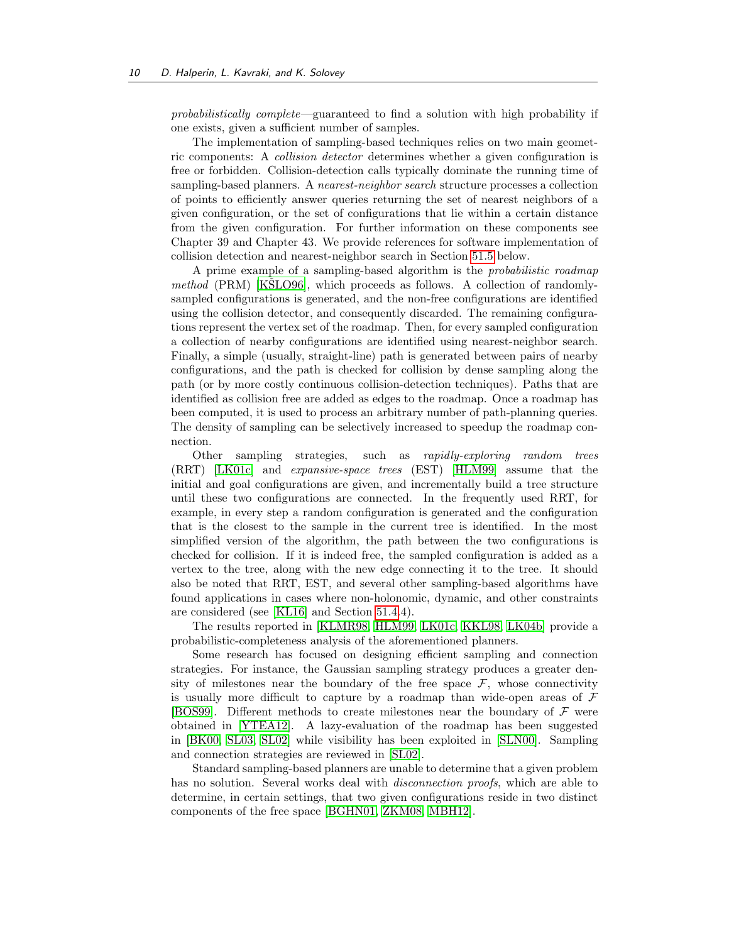probabilistically complete—guaranteed to find a solution with high probability if one exists, given a sufficient number of samples.

The implementation of sampling-based techniques relies on two main geometric components: A collision detector determines whether a given configuration is free or forbidden. Collision-detection calls typically dominate the running time of sampling-based planners. A nearest-neighbor search structure processes a collection of points to efficiently answer queries returning the set of nearest neighbors of a given configuration, or the set of configurations that lie within a certain distance from the given configuration. For further information on these components see Chapter 39 and Chapter 43. We provide references for software implementation of collision detection and nearest-neighbor search in Section [51.5](#page-18-0) below.

A prime example of a sampling-based algorithm is the probabilistic roadmap method  $(PRM)$  [\[KSLO96\]](#page-26-2), which proceeds as follows. A collection of randomlysampled configurations is generated, and the non-free configurations are identified using the collision detector, and consequently discarded. The remaining configurations represent the vertex set of the roadmap. Then, for every sampled configuration a collection of nearby configurations are identified using nearest-neighbor search. Finally, a simple (usually, straight-line) path is generated between pairs of nearby configurations, and the path is checked for collision by dense sampling along the path (or by more costly continuous collision-detection techniques). Paths that are identified as collision free are added as edges to the roadmap. Once a roadmap has been computed, it is used to process an arbitrary number of path-planning queries. The density of sampling can be selectively increased to speedup the roadmap connection.

Other sampling strategies, such as rapidly-exploring random trees (RRT) [\[LK01c\]](#page-27-4) and expansive-space trees (EST) [\[HLM99\]](#page-24-6) assume that the initial and goal configurations are given, and incrementally build a tree structure until these two configurations are connected. In the frequently used RRT, for example, in every step a random configuration is generated and the configuration that is the closest to the sample in the current tree is identified. In the most simplified version of the algorithm, the path between the two configurations is checked for collision. If it is indeed free, the sampled configuration is added as a vertex to the tree, along with the new edge connecting it to the tree. It should also be noted that RRT, EST, and several other sampling-based algorithms have found applications in cases where non-holonomic, dynamic, and other constraints are considered (see [\[KL16\]](#page-26-3) and Section [51.4.](#page-11-0)4).

The results reported in [\[KLMR98,](#page-26-4) [HLM99,](#page-24-6) [LK01c,](#page-27-4) [KKL98,](#page-26-5) [LK04b\]](#page-27-5) provide a probabilistic-completeness analysis of the aforementioned planners.

Some research has focused on designing efficient sampling and connection strategies. For instance, the Gaussian sampling strategy produces a greater density of milestones near the boundary of the free space  $\mathcal{F}$ , whose connectivity is usually more difficult to capture by a roadmap than wide-open areas of  $\mathcal F$ [\[BOS99\]](#page-22-4). Different methods to create milestones near the boundary of  $\mathcal F$  were obtained in [\[YTEA12\]](#page-32-5). A lazy-evaluation of the roadmap has been suggested in [\[BK00,](#page-21-7) [SL03,](#page-30-2) [SL02\]](#page-30-3) while visibility has been exploited in [\[SLN00\]](#page-31-5). Sampling and connection strategies are reviewed in [\[SL02\]](#page-30-3).

Standard sampling-based planners are unable to determine that a given problem has no solution. Several works deal with *disconnection proofs*, which are able to determine, in certain settings, that two given configurations reside in two distinct components of the free space [\[BGHN01,](#page-21-8) [ZKM08,](#page-32-6) [MBH12\]](#page-28-13).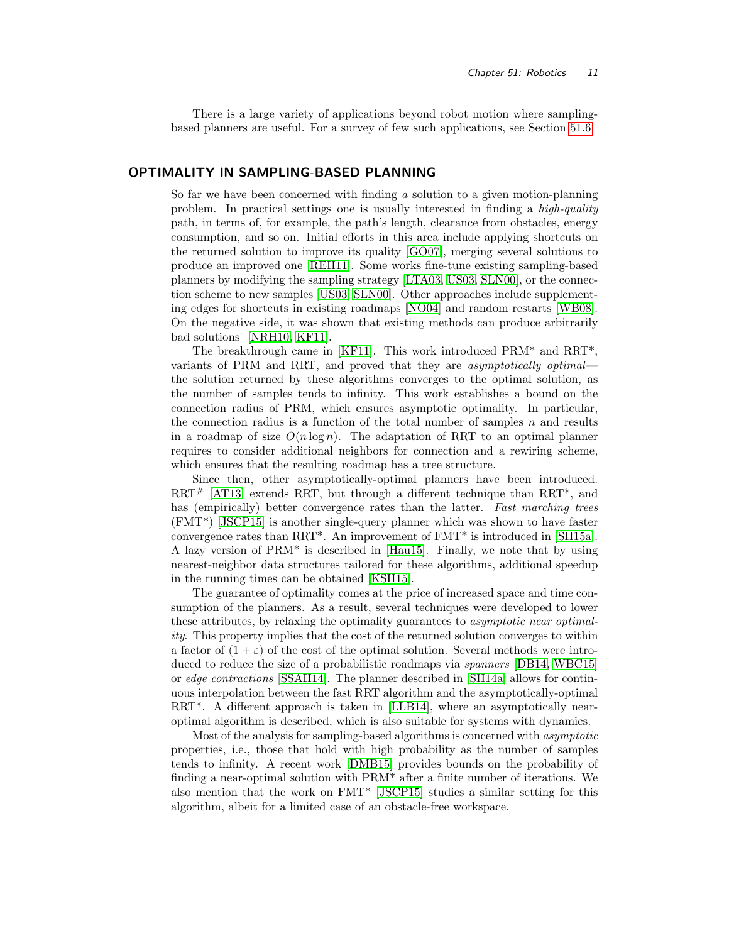There is a large variety of applications beyond robot motion where samplingbased planners are useful. For a survey of few such applications, see Section [51.6.](#page-19-0)

#### OPTIMALITY IN SAMPLING-BASED PLANNING

So far we have been concerned with finding  $\alpha$  solution to a given motion-planning problem. In practical settings one is usually interested in finding a high-quality path, in terms of, for example, the path's length, clearance from obstacles, energy consumption, and so on. Initial efforts in this area include applying shortcuts on the returned solution to improve its quality [\[GO07\]](#page-24-7), merging several solutions to produce an improved one [\[REH11\]](#page-29-12). Some works fine-tune existing sampling-based planners by modifying the sampling strategy [\[LTA03,](#page-27-6) [US03,](#page-31-6) [SLN00\]](#page-31-5), or the connection scheme to new samples [\[US03,](#page-31-6) [SLN00\]](#page-31-5). Other approaches include supplementing edges for shortcuts in existing roadmaps [\[NO04\]](#page-28-14) and random restarts [\[WB08\]](#page-32-7). On the negative side, it was shown that existing methods can produce arbitrarily bad solutions [\[NRH10,](#page-28-15) [KF11\]](#page-25-4).

The breakthrough came in [\[KF11\]](#page-25-4). This work introduced PRM\* and RRT\*, variants of PRM and RRT, and proved that they are asymptotically optimal the solution returned by these algorithms converges to the optimal solution, as the number of samples tends to infinity. This work establishes a bound on the connection radius of PRM, which ensures asymptotic optimality. In particular, the connection radius is a function of the total number of samples  $n$  and results in a roadmap of size  $O(n \log n)$ . The adaptation of RRT to an optimal planner requires to consider additional neighbors for connection and a rewiring scheme, which ensures that the resulting roadmap has a tree structure.

Since then, other asymptotically-optimal planners have been introduced.  $RRT^*$  [\[AT13\]](#page-21-9) extends RRT, but through a different technique than RRT<sup>\*</sup>, and has (empirically) better convergence rates than the latter. Fast marching trees (FMT\*) [\[JSCP15\]](#page-25-5) is another single-query planner which was shown to have faster convergence rates than RRT\*. An improvement of FMT\* is introduced in [\[SH15a\]](#page-30-4). A lazy version of PRM\* is described in [\[Hau15\]](#page-24-8). Finally, we note that by using nearest-neighbor data structures tailored for these algorithms, additional speedup in the running times can be obtained [\[KSH15\]](#page-26-6).

The guarantee of optimality comes at the price of increased space and time consumption of the planners. As a result, several techniques were developed to lower these attributes, by relaxing the optimality guarantees to asymptotic near optimality. This property implies that the cost of the returned solution converges to within a factor of  $(1 + \varepsilon)$  of the cost of the optimal solution. Several methods were introduced to reduce the size of a probabilistic roadmaps via spanners [\[DB14,](#page-22-5) [WBC15\]](#page-32-8) or edge contractions [\[SSAH14\]](#page-31-7). The planner described in [\[SH14a\]](#page-30-5) allows for continuous interpolation between the fast RRT algorithm and the asymptotically-optimal RRT\*. A different approach is taken in [\[LLB14\]](#page-27-7), where an asymptotically nearoptimal algorithm is described, which is also suitable for systems with dynamics.

Most of the analysis for sampling-based algorithms is concerned with asymptotic properties, i.e., those that hold with high probability as the number of samples tends to infinity. A recent work [\[DMB15\]](#page-23-10) provides bounds on the probability of finding a near-optimal solution with PRM\* after a finite number of iterations. We also mention that the work on FMT\* [\[JSCP15\]](#page-25-5) studies a similar setting for this algorithm, albeit for a limited case of an obstacle-free workspace.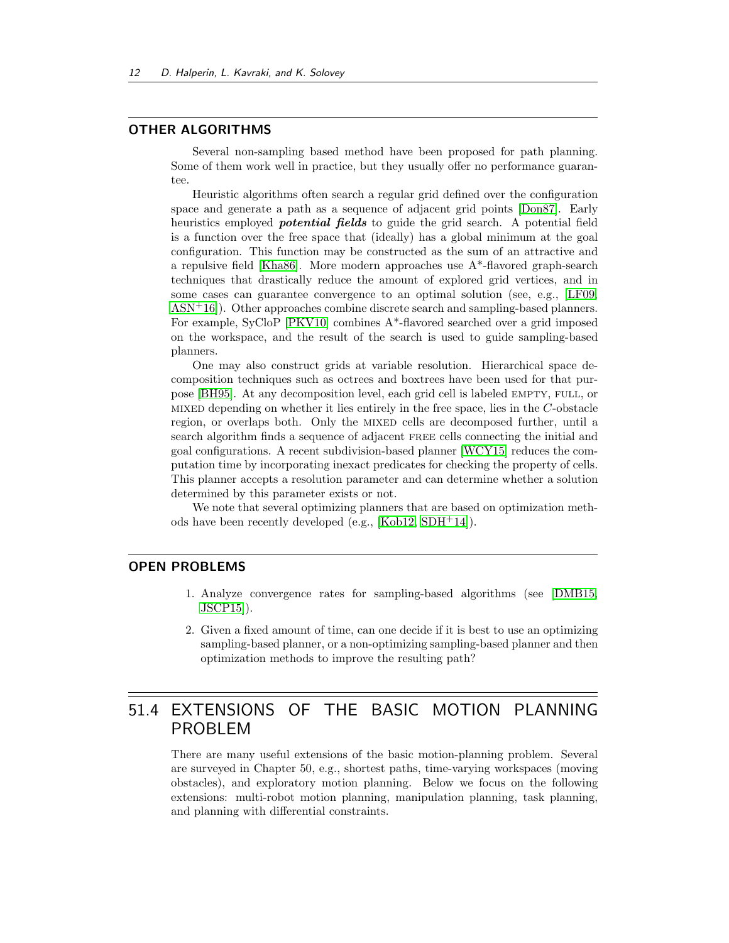#### OTHER ALGORITHMS

Several non-sampling based method have been proposed for path planning. Some of them work well in practice, but they usually offer no performance guarantee.

Heuristic algorithms often search a regular grid defined over the configuration space and generate a path as a sequence of adjacent grid points [\[Don87\]](#page-23-11). Early heuristics employed *potential fields* to guide the grid search. A potential field is a function over the free space that (ideally) has a global minimum at the goal configuration. This function may be constructed as the sum of an attractive and a repulsive field [\[Kha86\]](#page-25-6). More modern approaches use A\*-flavored graph-search techniques that drastically reduce the amount of explored grid vertices, and in some cases can guarantee convergence to an optimal solution (see, e.g., [\[LF09,](#page-27-8) [ASN](#page-20-5)+16]). Other approaches combine discrete search and sampling-based planners. For example, SyCloP [\[PKV10\]](#page-29-13) combines A\*-flavored searched over a grid imposed on the workspace, and the result of the search is used to guide sampling-based planners.

One may also construct grids at variable resolution. Hierarchical space decomposition techniques such as octrees and boxtrees have been used for that purpose [\[BH95\]](#page-21-10). At any decomposition level, each grid cell is labeled empty, full, or  $MIXED$  depending on whether it lies entirely in the free space, lies in the  $C$ -obstacle region, or overlaps both. Only the MIXED cells are decomposed further, until a search algorithm finds a sequence of adjacent free cells connecting the initial and goal configurations. A recent subdivision-based planner [\[WCY15\]](#page-32-9) reduces the computation time by incorporating inexact predicates for checking the property of cells. This planner accepts a resolution parameter and can determine whether a solution determined by this parameter exists or not.

We note that several optimizing planners that are based on optimization meth-ods have been recently developed (e.g., [\[Kob12,](#page-26-7) [SDH](#page-30-6)+14]).

## OPEN PROBLEMS

- 1. Analyze convergence rates for sampling-based algorithms (see [\[DMB15,](#page-23-10) [JSCP15\]](#page-25-5)).
- 2. Given a fixed amount of time, can one decide if it is best to use an optimizing sampling-based planner, or a non-optimizing sampling-based planner and then optimization methods to improve the resulting path?

## 51.4 EXTENSIONS OF THE BASIC MOTION PLANNING PROBLEM

<span id="page-11-0"></span>There are many useful extensions of the basic motion-planning problem. Several are surveyed in Chapter 50, e.g., shortest paths, time-varying workspaces (moving obstacles), and exploratory motion planning. Below we focus on the following extensions: multi-robot motion planning, manipulation planning, task planning, and planning with differential constraints.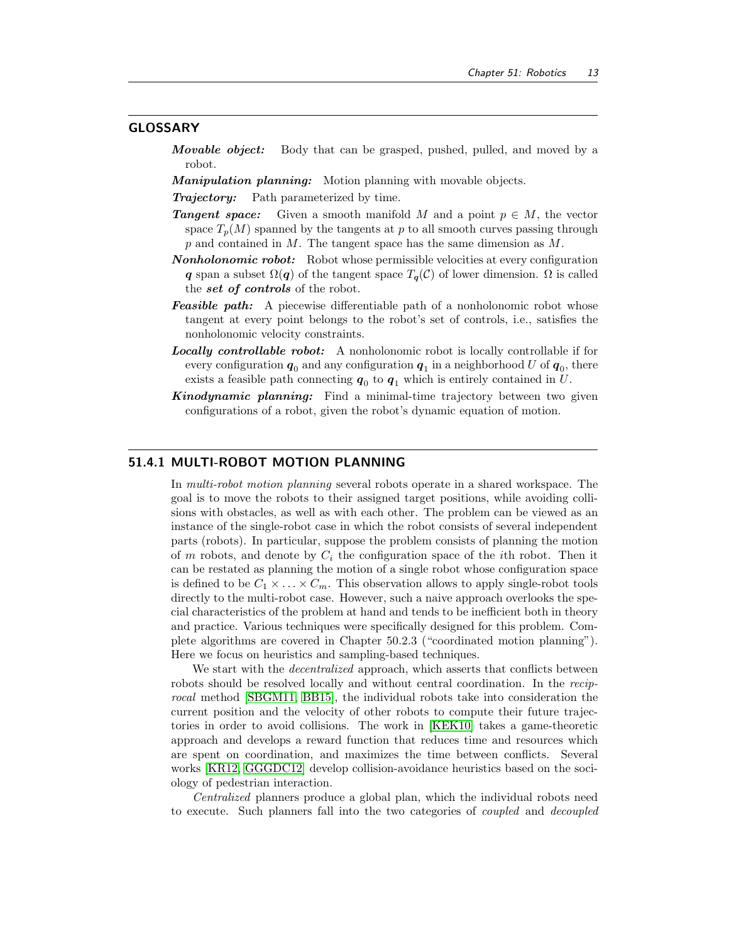#### GLOSSARY

- **Movable object:** Body that can be grasped, pushed, pulled, and moved by a robot.
- **Manipulation planning:** Motion planning with movable objects.
- **Trajectory:** Path parameterized by time.
- **Tangent space:** Given a smooth manifold M and a point  $p \in M$ , the vector space  $T_p(M)$  spanned by the tangents at p to all smooth curves passing through  $p$  and contained in  $M$ . The tangent space has the same dimension as  $M$ .
- **Nonholonomic robot:** Robot whose permissible velocities at every configuration q span a subset  $\Omega(q)$  of the tangent space  $T_q(\mathcal{C})$  of lower dimension.  $\Omega$  is called the set of controls of the robot.
- **Feasible path:** A piecewise differentiable path of a nonholonomic robot whose tangent at every point belongs to the robot's set of controls, i.e., satisfies the nonholonomic velocity constraints.
- **Locally controllable robot:** A nonholonomic robot is locally controllable if for every configuration  $\boldsymbol{q}_0$  and any configuration  $\boldsymbol{q}_1$  in a neighborhood  $U$  of  $\boldsymbol{q}_0$ , there exists a feasible path connecting  $q_0$  to  $q_1$  which is entirely contained in U.
- **Kinodynamic planning:** Find a minimal-time trajectory between two given configurations of a robot, given the robot's dynamic equation of motion.

#### 51.4.1 MULTI-ROBOT MOTION PLANNING

In *multi-robot motion planning* several robots operate in a shared workspace. The goal is to move the robots to their assigned target positions, while avoiding collisions with obstacles, as well as with each other. The problem can be viewed as an instance of the single-robot case in which the robot consists of several independent parts (robots). In particular, suppose the problem consists of planning the motion of m robots, and denote by  $C_i$  the configuration space of the *i*th robot. Then it can be restated as planning the motion of a single robot whose configuration space is defined to be  $C_1 \times \ldots \times C_m$ . This observation allows to apply single-robot tools directly to the multi-robot case. However, such a naive approach overlooks the special characteristics of the problem at hand and tends to be inefficient both in theory and practice. Various techniques were specifically designed for this problem. Complete algorithms are covered in Chapter 50.2.3 ("coordinated motion planning"). Here we focus on heuristics and sampling-based techniques.

We start with the *decentralized* approach, which asserts that conflicts between robots should be resolved locally and without central coordination. In the recip-rocal method [\[SBGM11,](#page-30-7) [BB15\]](#page-21-11), the individual robots take into consideration the current position and the velocity of other robots to compute their future trajectories in order to avoid collisions. The work in [\[KEK10\]](#page-25-7) takes a game-theoretic approach and develops a reward function that reduces time and resources which are spent on coordination, and maximizes the time between conflicts. Several works [\[KR12,](#page-26-8) [GGGDC12\]](#page-24-9) develop collision-avoidance heuristics based on the sociology of pedestrian interaction.

Centralized planners produce a global plan, which the individual robots need to execute. Such planners fall into the two categories of coupled and decoupled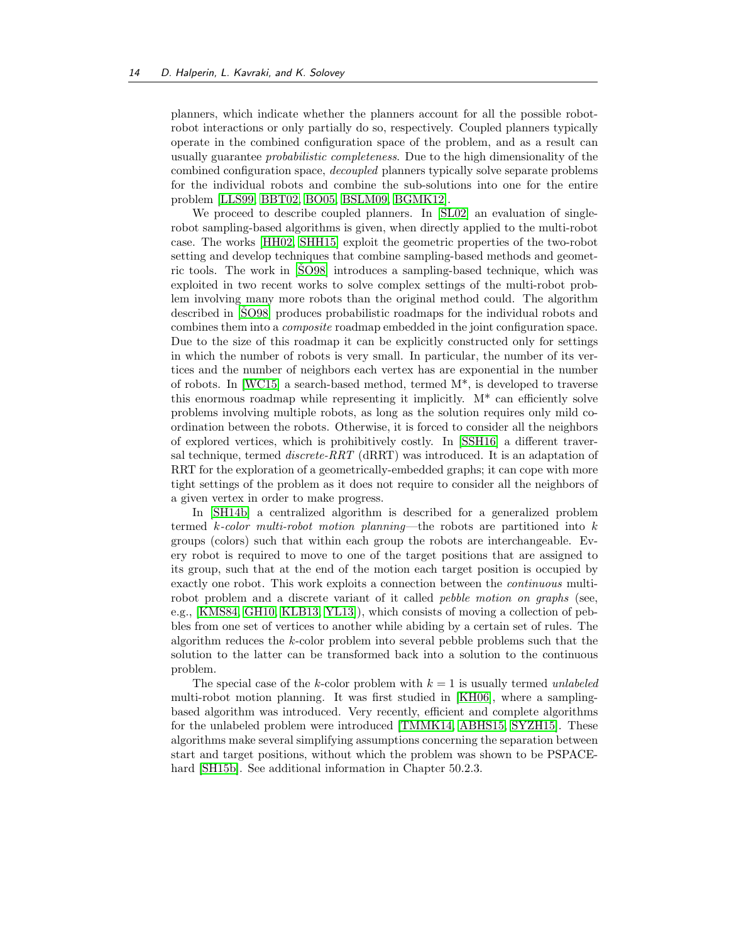planners, which indicate whether the planners account for all the possible robotrobot interactions or only partially do so, respectively. Coupled planners typically operate in the combined configuration space of the problem, and as a result can usually guarantee probabilistic completeness. Due to the high dimensionality of the combined configuration space, decoupled planners typically solve separate problems for the individual robots and combine the sub-solutions into one for the entire problem [\[LLS99,](#page-27-9) [BBT02,](#page-21-12) [BO05,](#page-22-6) [BSLM09,](#page-22-7) [BGMK12\]](#page-21-13).

We proceed to describe coupled planners. In [\[SL02\]](#page-30-3) an evaluation of singlerobot sampling-based algorithms is given, when directly applied to the multi-robot case. The works [\[HH02,](#page-24-10) [SHH15\]](#page-30-8) exploit the geometric properties of the two-robot setting and develop techniques that combine sampling-based methods and geometric tools. The work in  $\left[5098\right]$  introduces a sampling-based technique, which was exploited in two recent works to solve complex settings of the multi-robot problem involving many more robots than the original method could. The algorithm described in  $\left[5098\right]$  produces probabilistic roadmaps for the individual robots and combines them into a composite roadmap embedded in the joint configuration space. Due to the size of this roadmap it can be explicitly constructed only for settings in which the number of robots is very small. In particular, the number of its vertices and the number of neighbors each vertex has are exponential in the number of robots. In [\[WC15\]](#page-32-10) a search-based method, termed M\*, is developed to traverse this enormous roadmap while representing it implicitly.  $M^*$  can efficiently solve problems involving multiple robots, as long as the solution requires only mild coordination between the robots. Otherwise, it is forced to consider all the neighbors of explored vertices, which is prohibitively costly. In [\[SSH16\]](#page-31-9) a different traversal technique, termed *discrete-RRT* (dRRT) was introduced. It is an adaptation of RRT for the exploration of a geometrically-embedded graphs; it can cope with more tight settings of the problem as it does not require to consider all the neighbors of a given vertex in order to make progress.

In [\[SH14b\]](#page-30-9) a centralized algorithm is described for a generalized problem termed k-color multi-robot motion planning—the robots are partitioned into  $k$ groups (colors) such that within each group the robots are interchangeable. Every robot is required to move to one of the target positions that are assigned to its group, such that at the end of the motion each target position is occupied by exactly one robot. This work exploits a connection between the *continuous* multirobot problem and a discrete variant of it called *pebble motion on graphs* (see, e.g., [\[KMS84,](#page-26-9) [GH10,](#page-24-11) [KLB13,](#page-26-10) [YL13\]](#page-32-11)), which consists of moving a collection of pebbles from one set of vertices to another while abiding by a certain set of rules. The algorithm reduces the k-color problem into several pebble problems such that the solution to the latter can be transformed back into a solution to the continuous problem.

The special case of the k-color problem with  $k = 1$  is usually termed unlabeled multi-robot motion planning. It was first studied in [\[KH06\]](#page-25-8), where a samplingbased algorithm was introduced. Very recently, efficient and complete algorithms for the unlabeled problem were introduced [\[TMMK14,](#page-31-10) [ABHS15,](#page-20-6) [SYZH15\]](#page-31-11). These algorithms make several simplifying assumptions concerning the separation between start and target positions, without which the problem was shown to be PSPACE-hard [\[SH15b\]](#page-30-10). See additional information in Chapter 50.2.3.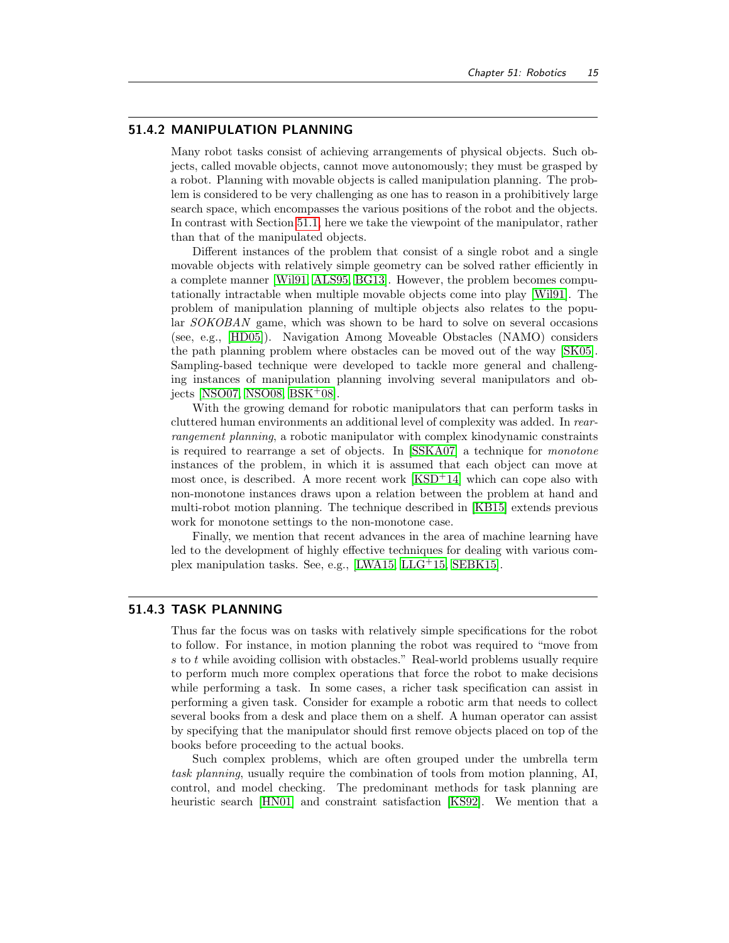#### 51.4.2 MANIPULATION PLANNING

Many robot tasks consist of achieving arrangements of physical objects. Such objects, called movable objects, cannot move autonomously; they must be grasped by a robot. Planning with movable objects is called manipulation planning. The problem is considered to be very challenging as one has to reason in a prohibitively large search space, which encompasses the various positions of the robot and the objects. In contrast with Section [51.1,](#page-1-0) here we take the viewpoint of the manipulator, rather than that of the manipulated objects.

Different instances of the problem that consist of a single robot and a single movable objects with relatively simple geometry can be solved rather efficiently in a complete manner [\[Wil91,](#page-32-12) [ALS95,](#page-20-7) [BG13\]](#page-21-14). However, the problem becomes computationally intractable when multiple movable objects come into play [\[Wil91\]](#page-32-12). The problem of manipulation planning of multiple objects also relates to the popular SOKOBAN game, which was shown to be hard to solve on several occasions (see, e.g., [\[HD05\]](#page-24-12)). Navigation Among Moveable Obstacles (NAMO) considers the path planning problem where obstacles can be moved out of the way [\[SK05\]](#page-30-11). Sampling-based technique were developed to tackle more general and challenging instances of manipulation planning involving several manipulators and ob-jects [\[NSO07,](#page-28-16) [NSO08,](#page-28-17)  $BSK<sup>+</sup>08$ ].

With the growing demand for robotic manipulators that can perform tasks in cluttered human environments an additional level of complexity was added. In rearrangement planning, a robotic manipulator with complex kinodynamic constraints is required to rearrange a set of objects. In [\[SSKA07\]](#page-31-12) a technique for monotone instances of the problem, in which it is assumed that each object can move at most once, is described. A more recent work  $[KSD+14]$  $[KSD+14]$  which can cope also with non-monotone instances draws upon a relation between the problem at hand and multi-robot motion planning. The technique described in [\[KB15\]](#page-25-9) extends previous work for monotone settings to the non-monotone case.

Finally, we mention that recent advances in the area of machine learning have led to the development of highly effective techniques for dealing with various complex manipulation tasks. See, e.g., [\[LWA15,](#page-27-10) [LLG](#page-27-11)+15, [SEBK15\]](#page-30-12).

## 51.4.3 TASK PLANNING

Thus far the focus was on tasks with relatively simple specifications for the robot to follow. For instance, in motion planning the robot was required to "move from s to t while avoiding collision with obstacles." Real-world problems usually require to perform much more complex operations that force the robot to make decisions while performing a task. In some cases, a richer task specification can assist in performing a given task. Consider for example a robotic arm that needs to collect several books from a desk and place them on a shelf. A human operator can assist by specifying that the manipulator should first remove objects placed on top of the books before proceeding to the actual books.

Such complex problems, which are often grouped under the umbrella term task planning, usually require the combination of tools from motion planning, AI, control, and model checking. The predominant methods for task planning are heuristic search [\[HN01\]](#page-25-10) and constraint satisfaction [\[KS92\]](#page-26-12). We mention that a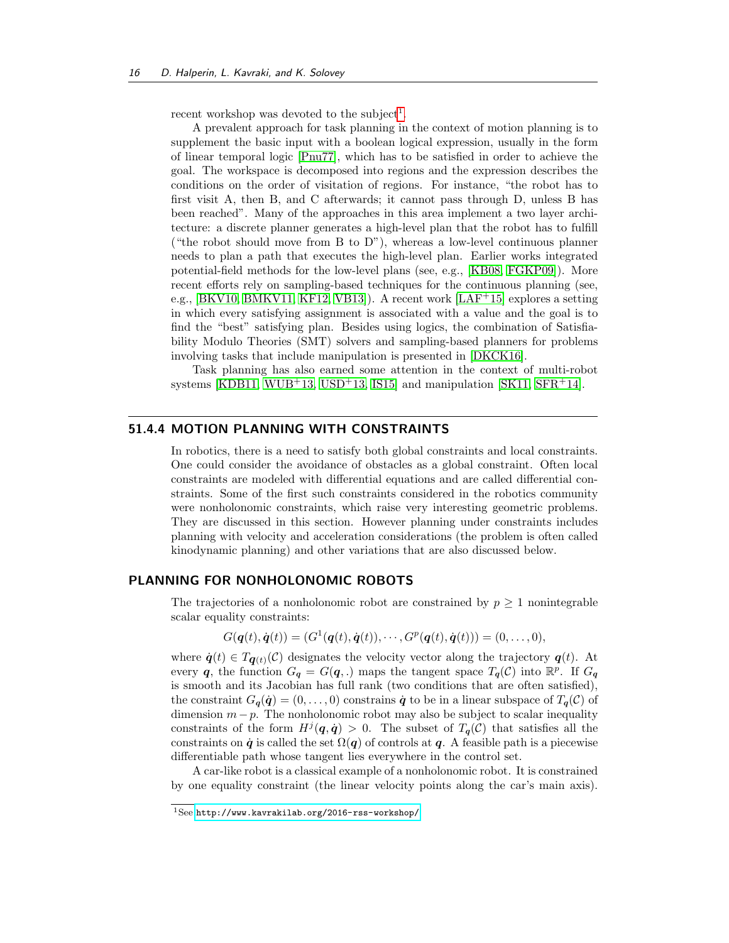recent workshop was devoted to the subject<sup>[1](#page-15-0)</sup>.

A prevalent approach for task planning in the context of motion planning is to supplement the basic input with a boolean logical expression, usually in the form of linear temporal logic [\[Pnu77\]](#page-29-14), which has to be satisfied in order to achieve the goal. The workspace is decomposed into regions and the expression describes the conditions on the order of visitation of regions. For instance, "the robot has to first visit A, then B, and C afterwards; it cannot pass through D, unless B has been reached". Many of the approaches in this area implement a two layer architecture: a discrete planner generates a high-level plan that the robot has to fulfill ("the robot should move from B to D"), whereas a low-level continuous planner needs to plan a path that executes the high-level plan. Earlier works integrated potential-field methods for the low-level plans (see, e.g., [\[KB08,](#page-25-11) [FGKP09\]](#page-23-12)). More recent efforts rely on sampling-based techniques for the continuous planning (see, e.g., [\[BKV10,](#page-21-15) [BMKV11,](#page-22-9) [KF12,](#page-25-12) [VB13\]](#page-31-13)). A recent work [\[LAF](#page-26-13)+15] explores a setting in which every satisfying assignment is associated with a value and the goal is to find the "best" satisfying plan. Besides using logics, the combination of Satisfiability Modulo Theories (SMT) solvers and sampling-based planners for problems involving tasks that include manipulation is presented in [\[DKCK16\]](#page-23-13).

Task planning has also earned some attention in the context of multi-robot systems [\[KDB11,](#page-25-13) [WUB](#page-32-13)<sup>+</sup>13, [USD](#page-31-14)<sup>+</sup>13, [IS15\]](#page-25-14) and manipulation [\[SK11,](#page-30-13) [SFR](#page-30-14)<sup>+</sup>14].

## 51.4.4 MOTION PLANNING WITH CONSTRAINTS

In robotics, there is a need to satisfy both global constraints and local constraints. One could consider the avoidance of obstacles as a global constraint. Often local constraints are modeled with differential equations and are called differential constraints. Some of the first such constraints considered in the robotics community were nonholonomic constraints, which raise very interesting geometric problems. They are discussed in this section. However planning under constraints includes planning with velocity and acceleration considerations (the problem is often called kinodynamic planning) and other variations that are also discussed below.

#### PLANNING FOR NONHOLONOMIC ROBOTS

The trajectories of a nonholonomic robot are constrained by  $p \geq 1$  nonintegrable scalar equality constraints:

$$
G(\bm{q}(t),\dot{\bm{q}}(t)) = (G^{1}(\bm{q}(t),\dot{\bm{q}}(t)),\cdots,G^{p}(\bm{q}(t),\dot{\bm{q}}(t))) = (0,\ldots,0),
$$

where  $\dot{\boldsymbol{q}}(t) \in T_{\boldsymbol{q}(t)}(\mathcal{C})$  designates the velocity vector along the trajectory  $\boldsymbol{q}(t)$ . At every q, the function  $G_q = G(q,.)$  maps the tangent space  $T_q(\mathcal{C})$  into  $\mathbb{R}^p$ . If  $G_q$ is smooth and its Jacobian has full rank (two conditions that are often satisfied), the constraint  $G_q(\dot{q}) = (0, \ldots, 0)$  constrains  $\dot{q}$  to be in a linear subspace of  $T_q(\mathcal{C})$  of dimension  $m-p$ . The nonholonomic robot may also be subject to scalar inequality constraints of the form  $H^j(q, \dot{q}) > 0$ . The subset of  $T_q(\mathcal{C})$  that satisfies all the constraints on  $\dot{q}$  is called the set  $\Omega(q)$  of controls at q. A feasible path is a piecewise differentiable path whose tangent lies everywhere in the control set.

A car-like robot is a classical example of a nonholonomic robot. It is constrained by one equality constraint (the linear velocity points along the car's main axis).

<span id="page-15-0"></span><sup>1</sup>See <http://www.kavrakilab.org/2016-rss-workshop/>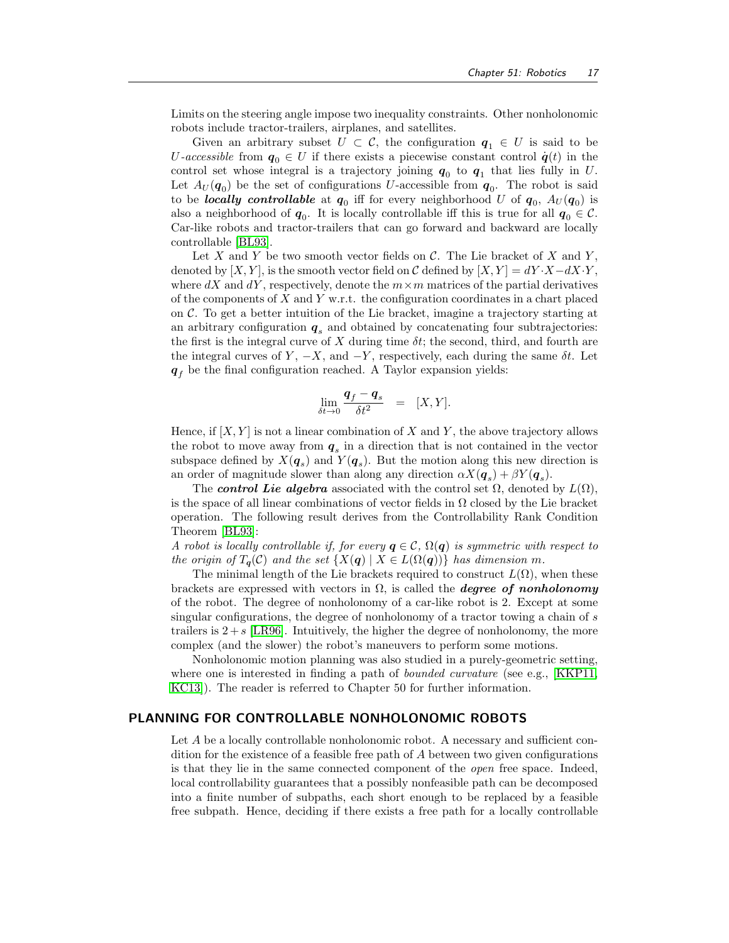Limits on the steering angle impose two inequality constraints. Other nonholonomic robots include tractor-trailers, airplanes, and satellites.

Given an arbitrary subset  $U \subset \mathcal{C}$ , the configuration  $q_1 \in U$  is said to be U-accessible from  $q_0 \in U$  if there exists a piecewise constant control  $\dot{q}(t)$  in the control set whose integral is a trajectory joining  $q_0$  to  $q_1$  that lies fully in U. Let  $A_U(\mathbf{q}_0)$  be the set of configurations U-accessible from  $\mathbf{q}_0$ . The robot is said to be *locally controllable* at  $q_0$  iff for every neighborhood U of  $q_0$ ,  $A_U(q_0)$  is also a neighborhood of  $q_0$ . It is locally controllable iff this is true for all  $q_0 \in \mathcal{C}$ . Car-like robots and tractor-trailers that can go forward and backward are locally controllable [\[BL93\]](#page-21-16).

Let X and Y be two smooth vector fields on  $\mathcal{C}$ . The Lie bracket of X and Y, denoted by  $[X, Y]$ , is the smooth vector field on C defined by  $[X, Y] = dY \cdot X - dX \cdot Y$ , where  $dX$  and  $dY$ , respectively, denote the  $m \times m$  matrices of the partial derivatives of the components of  $X$  and  $Y$  w.r.t. the configuration coordinates in a chart placed on C. To get a better intuition of the Lie bracket, imagine a trajectory starting at an arbitrary configuration  $q_s$  and obtained by concatenating four subtrajectories: the first is the integral curve of X during time  $\delta t$ ; the second, third, and fourth are the integral curves of Y,  $-X$ , and  $-Y$ , respectively, each during the same  $\delta t$ . Let  $q_f$  be the final configuration reached. A Taylor expansion yields:

$$
\lim_{\delta t \to 0} \frac{\mathbf{q}_f - \mathbf{q}_s}{\delta t^2} = [X, Y].
$$

Hence, if  $[X, Y]$  is not a linear combination of X and Y, the above trajectory allows the robot to move away from  $q_s$  in a direction that is not contained in the vector subspace defined by  $X(\mathbf{q}_s)$  and  $Y(\mathbf{q}_s)$ . But the motion along this new direction is an order of magnitude slower than along any direction  $\alpha X(\mathbf{q}_s) + \beta Y(\mathbf{q}_s)$ .

The **control Lie algebra** associated with the control set  $\Omega$ , denoted by  $L(\Omega)$ , is the space of all linear combinations of vector fields in  $\Omega$  closed by the Lie bracket operation. The following result derives from the Controllability Rank Condition Theorem [\[BL93\]](#page-21-16):

A robot is locally controllable if, for every  $q \in \mathcal{C}$ ,  $\Omega(q)$  is symmetric with respect to the origin of  $T_q(\mathcal{C})$  and the set  $\{X(q) | X \in L(\Omega(q))\}$  has dimension m.

The minimal length of the Lie brackets required to construct  $L(\Omega)$ , when these brackets are expressed with vectors in  $\Omega$ , is called the **degree of nonholonomy** of the robot. The degree of nonholonomy of a car-like robot is 2. Except at some singular configurations, the degree of nonholonomy of a tractor towing a chain of s trailers is  $2 + s$  [\[LR96\]](#page-27-12). Intuitively, the higher the degree of nonholonomy, the more complex (and the slower) the robot's maneuvers to perform some motions.

Nonholonomic motion planning was also studied in a purely-geometric setting, where one is interested in finding a path of *bounded curvature* (see e.g., [\[KKP11,](#page-26-14) [KC13\]](#page-25-15)). The reader is referred to Chapter 50 for further information.

#### PLANNING FOR CONTROLLABLE NONHOLONOMIC ROBOTS

Let A be a locally controllable nonholonomic robot. A necessary and sufficient condition for the existence of a feasible free path of A between two given configurations is that they lie in the same connected component of the open free space. Indeed, local controllability guarantees that a possibly nonfeasible path can be decomposed into a finite number of subpaths, each short enough to be replaced by a feasible free subpath. Hence, deciding if there exists a free path for a locally controllable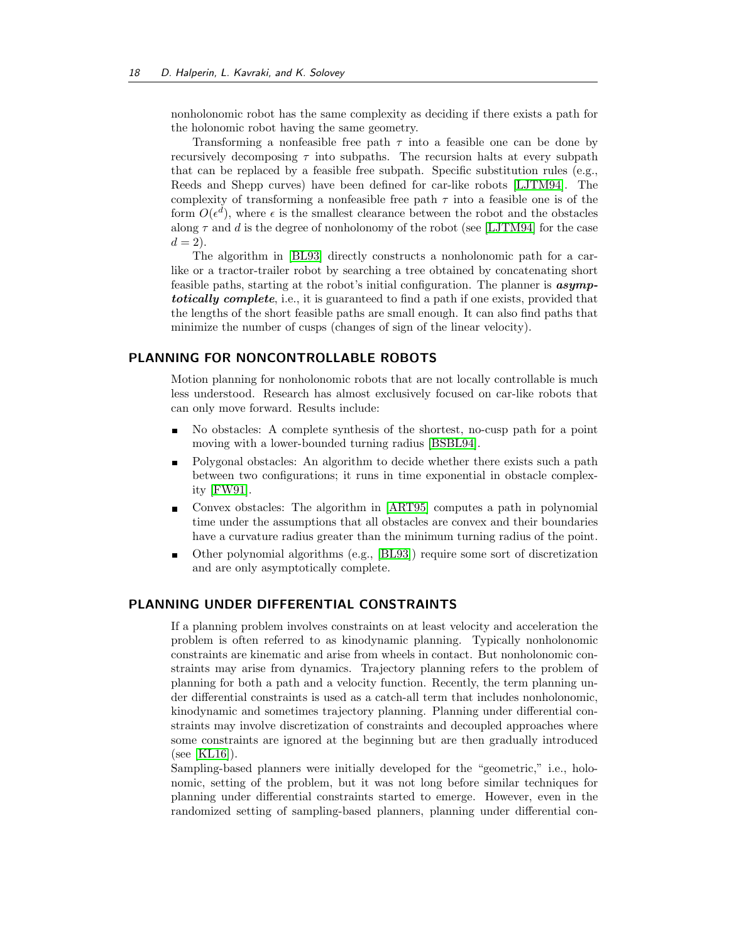nonholonomic robot has the same complexity as deciding if there exists a path for the holonomic robot having the same geometry.

Transforming a nonfeasible free path  $\tau$  into a feasible one can be done by recursively decomposing  $\tau$  into subpaths. The recursion halts at every subpath that can be replaced by a feasible free subpath. Specific substitution rules (e.g., Reeds and Shepp curves) have been defined for car-like robots [\[LJTM94\]](#page-27-13). The complexity of transforming a nonfeasible free path  $\tau$  into a feasible one is of the form  $O(\epsilon^d)$ , where  $\epsilon$  is the smallest clearance between the robot and the obstacles along  $\tau$  and d is the degree of nonholonomy of the robot (see [\[LJTM94\]](#page-27-13) for the case  $d = 2$ ).

The algorithm in [\[BL93\]](#page-21-16) directly constructs a nonholonomic path for a carlike or a tractor-trailer robot by searching a tree obtained by concatenating short feasible paths, starting at the robot's initial configuration. The planner is asymptotically complete, i.e., it is guaranteed to find a path if one exists, provided that the lengths of the short feasible paths are small enough. It can also find paths that minimize the number of cusps (changes of sign of the linear velocity).

#### PLANNING FOR NONCONTROLLABLE ROBOTS

Motion planning for nonholonomic robots that are not locally controllable is much less understood. Research has almost exclusively focused on car-like robots that can only move forward. Results include:

- No obstacles: A complete synthesis of the shortest, no-cusp path for a point moving with a lower-bounded turning radius [\[BSBL94\]](#page-22-10).
- Polygonal obstacles: An algorithm to decide whether there exists such a path between two configurations; it runs in time exponential in obstacle complexity [\[FW91\]](#page-23-14).
- Convex obstacles: The algorithm in [\[ART95\]](#page-20-8) computes a path in polynomial  $\blacksquare$ time under the assumptions that all obstacles are convex and their boundaries have a curvature radius greater than the minimum turning radius of the point.
- Other polynomial algorithms (e.g., [\[BL93\]](#page-21-16)) require some sort of discretization and are only asymptotically complete.

### PLANNING UNDER DIFFERENTIAL CONSTRAINTS

If a planning problem involves constraints on at least velocity and acceleration the problem is often referred to as kinodynamic planning. Typically nonholonomic constraints are kinematic and arise from wheels in contact. But nonholonomic constraints may arise from dynamics. Trajectory planning refers to the problem of planning for both a path and a velocity function. Recently, the term planning under differential constraints is used as a catch-all term that includes nonholonomic, kinodynamic and sometimes trajectory planning. Planning under differential constraints may involve discretization of constraints and decoupled approaches where some constraints are ignored at the beginning but are then gradually introduced (see [\[KL16\]](#page-26-3)).

Sampling-based planners were initially developed for the "geometric," i.e., holonomic, setting of the problem, but it was not long before similar techniques for planning under differential constraints started to emerge. However, even in the randomized setting of sampling-based planners, planning under differential con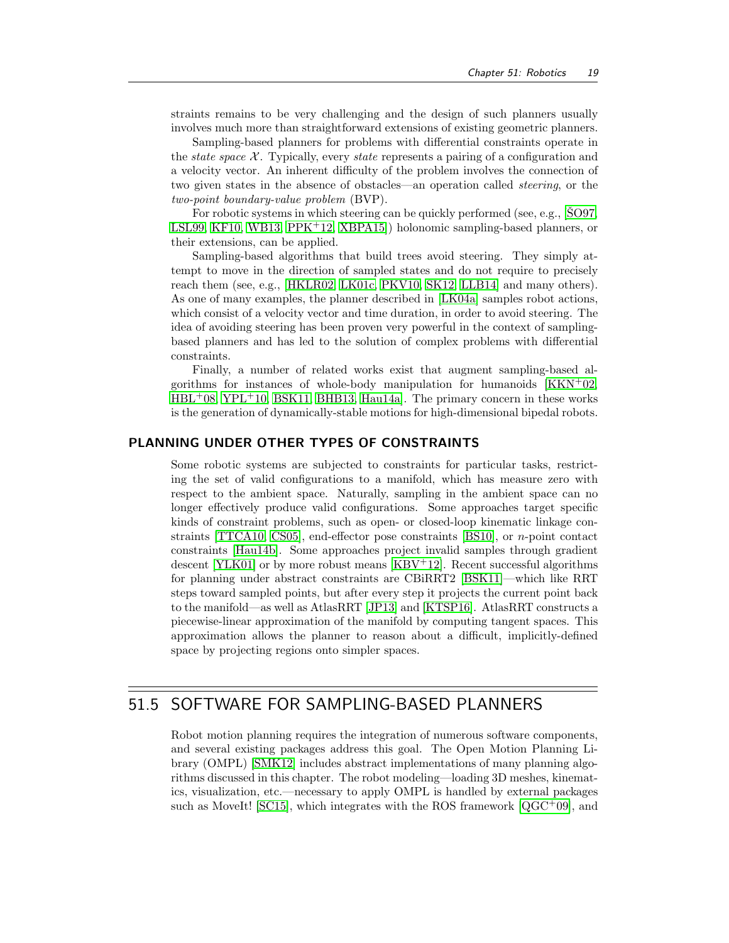straints remains to be very challenging and the design of such planners usually involves much more than straightforward extensions of existing geometric planners.

Sampling-based planners for problems with differential constraints operate in the *state space*  $\mathcal{X}$ . Typically, every *state* represents a pairing of a configuration and a velocity vector. An inherent difficulty of the problem involves the connection of two given states in the absence of obstacles—an operation called steering, or the two-point boundary-value problem (BVP).

For robotic systems in which steering can be quickly performed (see, e.g.,  $\left[ \text{SO}97, \text{C} \right]$ [LSL99,](#page-27-14) [KF10,](#page-25-16) [WB13,](#page-32-14) [PPK](#page-29-15)+12, [XBPA15\]](#page-32-15)) holonomic sampling-based planners, or their extensions, can be applied.

Sampling-based algorithms that build trees avoid steering. They simply attempt to move in the direction of sampled states and do not require to precisely reach them (see, e.g., [\[HKLR02,](#page-24-13) [LK01c,](#page-27-4) [PKV10,](#page-29-13) [SK12,](#page-30-15) [LLB14\]](#page-27-7) and many others). As one of many examples, the planner described in [\[LK04a\]](#page-27-15) samples robot actions, which consist of a velocity vector and time duration, in order to avoid steering. The idea of avoiding steering has been proven very powerful in the context of samplingbased planners and has led to the solution of complex problems with differential constraints.

Finally, a number of related works exist that augment sampling-based algorithms for instances of whole-body manipulation for humanoids  $[KKN<sup>+</sup>02,$  $[KKN<sup>+</sup>02,$  $HBL+08$  $HBL+08$ ,  $YPL+10$ ,  $BSK11$ ,  $BHB13$ ,  $Hau14a$ . The primary concern in these works is the generation of dynamically-stable motions for high-dimensional bipedal robots.

#### PLANNING UNDER OTHER TYPES OF CONSTRAINTS

Some robotic systems are subjected to constraints for particular tasks, restricting the set of valid configurations to a manifold, which has measure zero with respect to the ambient space. Naturally, sampling in the ambient space can no longer effectively produce valid configurations. Some approaches target specific kinds of constraint problems, such as open- or closed-loop kinematic linkage constraints  $[TTCA10, CS05]$  $[TTCA10, CS05]$ , end-effector pose constraints  $[BS10]$ , or *n*-point contact constraints [\[Hau14b\]](#page-24-16). Some approaches project invalid samples through gradient descent [\[YLK01\]](#page-32-17) or by more robust means  $[KBV+12]$  $[KBV+12]$ . Recent successful algorithms for planning under abstract constraints are CBiRRT2 [\[BSK11\]](#page-22-11)—which like RRT steps toward sampled points, but after every step it projects the current point back to the manifold—as well as AtlasRRT [\[JP13\]](#page-25-18) and [\[KTSP16\]](#page-26-16). AtlasRRT constructs a piecewise-linear approximation of the manifold by computing tangent spaces. This approximation allows the planner to reason about a difficult, implicitly-defined space by projecting regions onto simpler spaces.

## 51.5 SOFTWARE FOR SAMPLING-BASED PLANNERS

<span id="page-18-0"></span>Robot motion planning requires the integration of numerous software components, and several existing packages address this goal. The Open Motion Planning Library (OMPL) [\[SMK12\]](#page-31-17) includes abstract implementations of many planning algorithms discussed in this chapter. The robot modeling—loading 3D meshes, kinematics, visualization, etc.—necessary to apply OMPL is handled by external packages such as MoveIt! [\[SC15\]](#page-30-16), which integrates with the ROS framework  $[QGC^+0.9]$  $[QGC^+0.9]$ , and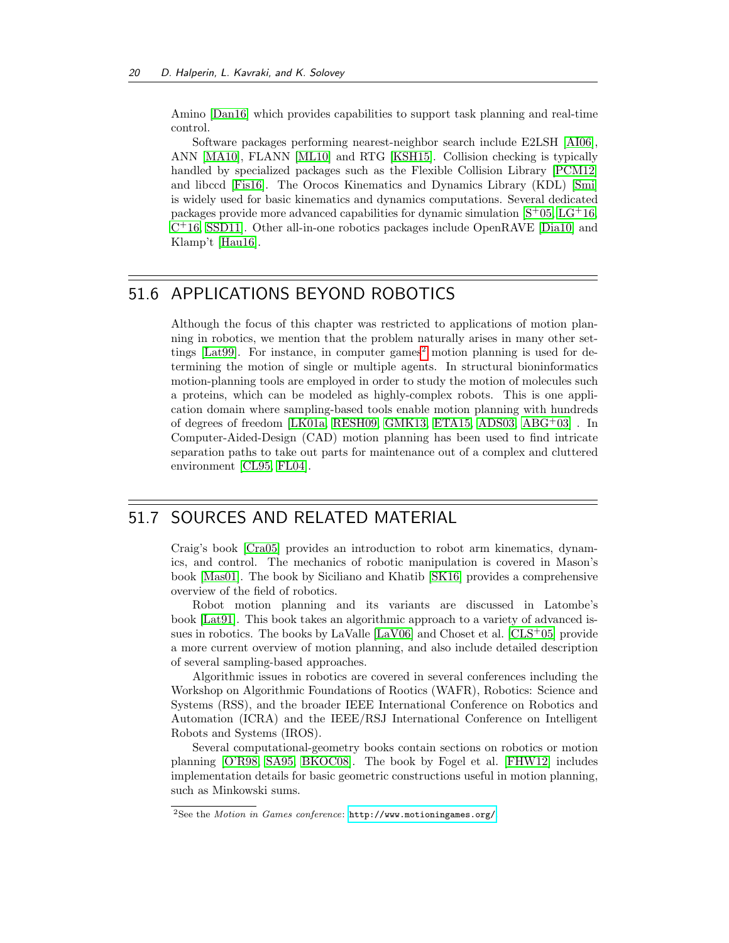Amino [\[Dan16\]](#page-22-14) which provides capabilities to support task planning and real-time control.

Software packages performing nearest-neighbor search include E2LSH [\[AI06\]](#page-20-9), ANN [\[MA10\]](#page-27-16), FLANN [\[ML10\]](#page-28-18) and RTG [\[KSH15\]](#page-26-6). Collision checking is typically handled by specialized packages such as the Flexible Collision Library [\[PCM12\]](#page-29-17) and libccd [\[Fis16\]](#page-23-15). The Orocos Kinematics and Dynamics Library (KDL) [\[Smi\]](#page-31-18) is widely used for basic kinematics and dynamics computations. Several dedicated packages provide more advanced capabilities for dynamic simulation  $[S^+05, LG^+16,$  $[S^+05, LG^+16,$  $[S^+05, LG^+16,$  $[S^+05, LG^+16,$ C <sup>+</sup>[16,](#page-22-15) [SSD11\]](#page-31-19). Other all-in-one robotics packages include OpenRAVE [\[Dia10\]](#page-23-16) and Klamp't [\[Hau16\]](#page-24-17).

## 51.6 APPLICATIONS BEYOND ROBOTICS

<span id="page-19-0"></span>Although the focus of this chapter was restricted to applications of motion planning in robotics, we mention that the problem naturally arises in many other settings  $[Lat99]$ . For instance, in computer games<sup>[2](#page-19-1)</sup> motion planning is used for determining the motion of single or multiple agents. In structural bioninformatics motion-planning tools are employed in order to study the motion of molecules such a proteins, which can be modeled as highly-complex robots. This is one application domain where sampling-based tools enable motion planning with hundreds of degrees of freedom [\[LK01a,](#page-27-18) [RESH09,](#page-29-18) [GMK13,](#page-24-18) [ETA15,](#page-23-17) [ADS03,](#page-20-10) [ABG](#page-20-11)+03] . In Computer-Aided-Design (CAD) motion planning has been used to find intricate separation paths to take out parts for maintenance out of a complex and cluttered environment [\[CL95,](#page-22-16) [FL04\]](#page-23-18).

## 51.7 SOURCES AND RELATED MATERIAL

Craig's book [\[Cra05\]](#page-22-17) provides an introduction to robot arm kinematics, dynamics, and control. The mechanics of robotic manipulation is covered in Mason's book [\[Mas01\]](#page-28-19). The book by Siciliano and Khatib [\[SK16\]](#page-30-18) provides a comprehensive overview of the field of robotics.

Robot motion planning and its variants are discussed in Latombe's book [\[Lat91\]](#page-26-18). This book takes an algorithmic approach to a variety of advanced issues in robotics. The books by LaValle  $[LaV06]$  and Choset et al.  $[CLS<sup>+</sup>05]$  $[CLS<sup>+</sup>05]$  provide a more current overview of motion planning, and also include detailed description of several sampling-based approaches.

Algorithmic issues in robotics are covered in several conferences including the Workshop on Algorithmic Foundations of Rootics (WAFR), Robotics: Science and Systems (RSS), and the broader IEEE International Conference on Robotics and Automation (ICRA) and the IEEE/RSJ International Conference on Intelligent Robots and Systems (IROS).

Several computational-geometry books contain sections on robotics or motion planning [\[O'R98,](#page-28-20) [SA95,](#page-30-19) [BKOC08\]](#page-22-19). The book by Fogel et al. [\[FHW12\]](#page-23-19) includes implementation details for basic geometric constructions useful in motion planning, such as Minkowski sums.

<span id="page-19-1"></span><sup>2</sup>See the Motion in Games conference: <http://www.motioningames.org/>.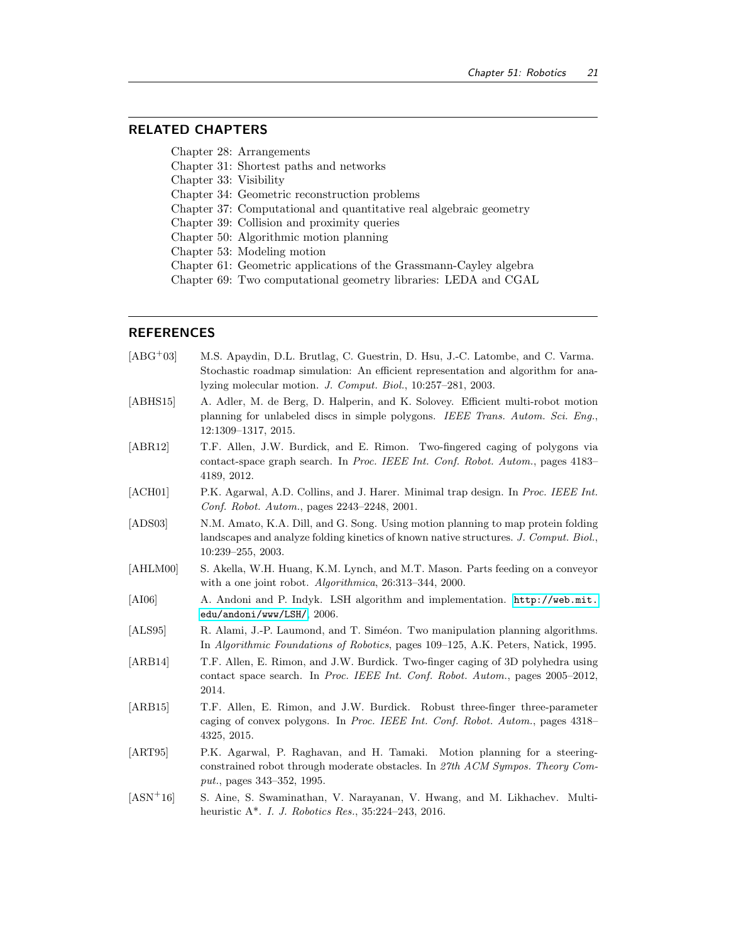## RELATED CHAPTERS

- Chapter 28: Arrangements
- Chapter 31: Shortest paths and networks
- Chapter 33: Visibility
- Chapter 34: Geometric reconstruction problems
- Chapter 37: Computational and quantitative real algebraic geometry
- Chapter 39: Collision and proximity queries
- Chapter 50: Algorithmic motion planning
- Chapter 53: Modeling motion
- Chapter 61: Geometric applications of the Grassmann-Cayley algebra
- Chapter 69: Two computational geometry libraries: LEDA and CGAL

## REFERENCES

<span id="page-20-11"></span><span id="page-20-10"></span><span id="page-20-9"></span><span id="page-20-8"></span><span id="page-20-7"></span><span id="page-20-6"></span><span id="page-20-5"></span><span id="page-20-4"></span><span id="page-20-3"></span><span id="page-20-2"></span><span id="page-20-1"></span><span id="page-20-0"></span>[ABG<sup>+</sup>03] M.S. Apaydin, D.L. Brutlag, C. Guestrin, D. Hsu, J.-C. Latombe, and C. Varma. Stochastic roadmap simulation: An efficient representation and algorithm for analyzing molecular motion. J. Comput. Biol., 10:257–281, 2003. [ABHS15] A. Adler, M. de Berg, D. Halperin, and K. Solovey. Efficient multi-robot motion planning for unlabeled discs in simple polygons. IEEE Trans. Autom. Sci. Eng., 12:1309–1317, 2015. [ABR12] T.F. Allen, J.W. Burdick, and E. Rimon. Two-fingered caging of polygons via contact-space graph search. In Proc. IEEE Int. Conf. Robot. Autom., pages 4183– 4189, 2012. [ACH01] P.K. Agarwal, A.D. Collins, and J. Harer. Minimal trap design. In Proc. IEEE Int. Conf. Robot. Autom., pages 2243–2248, 2001. [ADS03] N.M. Amato, K.A. Dill, and G. Song. Using motion planning to map protein folding landscapes and analyze folding kinetics of known native structures. J. Comput. Biol., 10:239–255, 2003. [AHLM00] S. Akella, W.H. Huang, K.M. Lynch, and M.T. Mason. Parts feeding on a conveyor with a one joint robot. Algorithmica, 26:313–344, 2000. [AI06] A. Andoni and P. Indyk. LSH algorithm and implementation. [http://web.mit.](http://web.mit.edu/andoni/www/LSH/) [edu/andoni/www/LSH/](http://web.mit.edu/andoni/www/LSH/), 2006. [ALS95] R. Alami, J.-P. Laumond, and T. Siméon. Two manipulation planning algorithms. In Algorithmic Foundations of Robotics, pages 109–125, A.K. Peters, Natick, 1995. [ARB14] T.F. Allen, E. Rimon, and J.W. Burdick. Two-finger caging of 3D polyhedra using contact space search. In Proc. IEEE Int. Conf. Robot. Autom., pages 2005–2012, 2014. [ARB15] T.F. Allen, E. Rimon, and J.W. Burdick. Robust three-finger three-parameter caging of convex polygons. In Proc. IEEE Int. Conf. Robot. Autom., pages 4318– 4325, 2015. [ART95] P.K. Agarwal, P. Raghavan, and H. Tamaki. Motion planning for a steeringconstrained robot through moderate obstacles. In 27th ACM Sympos. Theory Comput., pages 343–352, 1995. [ASN<sup>+</sup>16] S. Aine, S. Swaminathan, V. Narayanan, V. Hwang, and M. Likhachev. Multiheuristic A\*. I. J. Robotics Res., 35:224–243, 2016.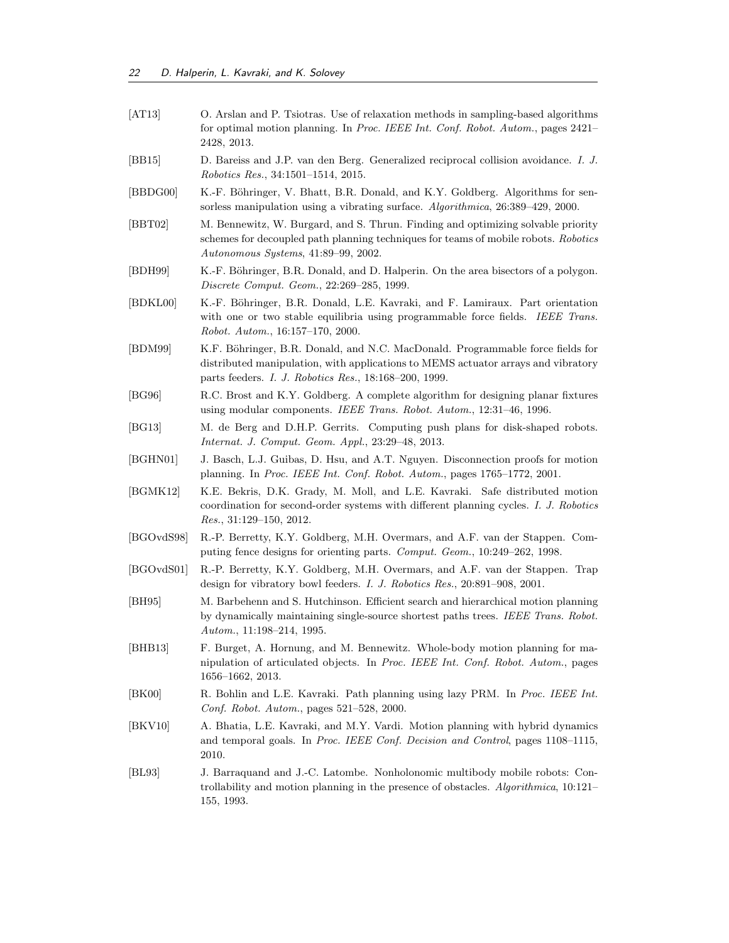<span id="page-21-17"></span><span id="page-21-16"></span><span id="page-21-15"></span><span id="page-21-14"></span><span id="page-21-13"></span><span id="page-21-12"></span><span id="page-21-11"></span><span id="page-21-10"></span><span id="page-21-9"></span><span id="page-21-8"></span><span id="page-21-7"></span><span id="page-21-6"></span><span id="page-21-5"></span><span id="page-21-4"></span><span id="page-21-3"></span><span id="page-21-2"></span><span id="page-21-1"></span><span id="page-21-0"></span>

| [AT13]          | O. Arslan and P. Tsiotras. Use of relaxation methods in sampling-based algorithms<br>for optimal motion planning. In Proc. IEEE Int. Conf. Robot. Autom., pages 2421-<br>2428, 2013.                                         |
|-----------------|------------------------------------------------------------------------------------------------------------------------------------------------------------------------------------------------------------------------------|
| [BB15]          | D. Bareiss and J.P. van den Berg. Generalized reciprocal collision avoidance. I. J.<br><i>Robotics Res.</i> , 34:1501-1514, 2015.                                                                                            |
| [BBDG00]        | K.-F. Böhringer, V. Bhatt, B.R. Donald, and K.Y. Goldberg. Algorithms for sen-<br>sorless manipulation using a vibrating surface. Algorithmica, 26:389-429, 2000.                                                            |
| [ <b>B</b> T02] | M. Bennewitz, W. Burgard, and S. Thrun. Finding and optimizing solvable priority<br>schemes for decoupled path planning techniques for teams of mobile robots. Robotics<br>Autonomous Systems, 41:89-99, 2002.               |
| [BDH99]         | K.-F. Böhringer, B.R. Donald, and D. Halperin. On the area bisectors of a polygon.<br>Discrete Comput. Geom., 22:269-285, 1999.                                                                                              |
| [BDKL00]        | K.-F. Böhringer, B.R. Donald, L.E. Kavraki, and F. Lamiraux. Part orientation<br>with one or two stable equilibria using programmable force fields. IEEE Trans.<br><i>Robot. Autom.</i> , 16:157-170, 2000.                  |
| [BDM99]         | K.F. Böhringer, B.R. Donald, and N.C. MacDonald. Programmable force fields for<br>distributed manipulation, with applications to MEMS actuator arrays and vibratory<br>parts feeders. I. J. Robotics Res., 18:168-200, 1999. |
| [BG96]          | R.C. Brost and K.Y. Goldberg. A complete algorithm for designing planar fixtures<br>using modular components. IEEE Trans. Robot. Autom., 12:31-46, 1996.                                                                     |
| $[{\rm BG13}]$  | M. de Berg and D.H.P. Gerrits. Computing push plans for disk-shaped robots.<br>Internat. J. Comput. Geom. Appl., 23:29–48, 2013.                                                                                             |
| [BGHN01]        | J. Basch, L.J. Guibas, D. Hsu, and A.T. Nguyen. Disconnection proofs for motion<br>planning. In Proc. IEEE Int. Conf. Robot. Autom., pages 1765–1772, 2001.                                                                  |
| [BGMK12]        | K.E. Bekris, D.K. Grady, M. Moll, and L.E. Kavraki. Safe distributed motion<br>coordination for second-order systems with different planning cycles. I. J. Robotics<br>$Res., 31:129-150, 2012.$                             |
| [BGOvdS98]      | R.-P. Berretty, K.Y. Goldberg, M.H. Overmars, and A.F. van der Stappen. Com-<br>puting fence designs for orienting parts. Comput. Geom., 10:249-262, 1998.                                                                   |
| [BGOvdS01]      | R.-P. Berretty, K.Y. Goldberg, M.H. Overmars, and A.F. van der Stappen. Trap<br>design for vibratory bowl feeders. I. J. Robotics Res., 20:891-908, 2001.                                                                    |
| [BH95]          | M. Barbehenn and S. Hutchinson. Efficient search and hierarchical motion planning<br>by dynamically maintaining single-source shortest paths trees. IEEE Trans. Robot.<br>Autom., $11:198-214$ , 1995.                       |
| [BHB13]         | F. Burget, A. Hornung, and M. Bennewitz. Whole-body motion planning for ma-<br>nipulation of articulated objects. In Proc. IEEE Int. Conf. Robot. Autom., pages<br>$1656 - 1662$ , 2013.                                     |
| $[{\rm BK00}]$  | R. Bohlin and L.E. Kavraki. Path planning using lazy PRM. In <i>Proc. IEEE Int.</i><br>Conf. Robot. Autom., pages 521–528, 2000.                                                                                             |
| $[{\rm BKV10}]$ | A. Bhatia, L.E. Kavraki, and M.Y. Vardi. Motion planning with hybrid dynamics<br>and temporal goals. In <i>Proc. IEEE Conf. Decision and Control</i> , pages 1108–1115,<br>2010.                                             |
| [BL93]          | J. Barraquand and J.-C. Latombe. Nonholonomic multibody mobile robots: Con-<br>trollability and motion planning in the presence of obstacles. Algorithmica, 10:121–<br>155, 1993.                                            |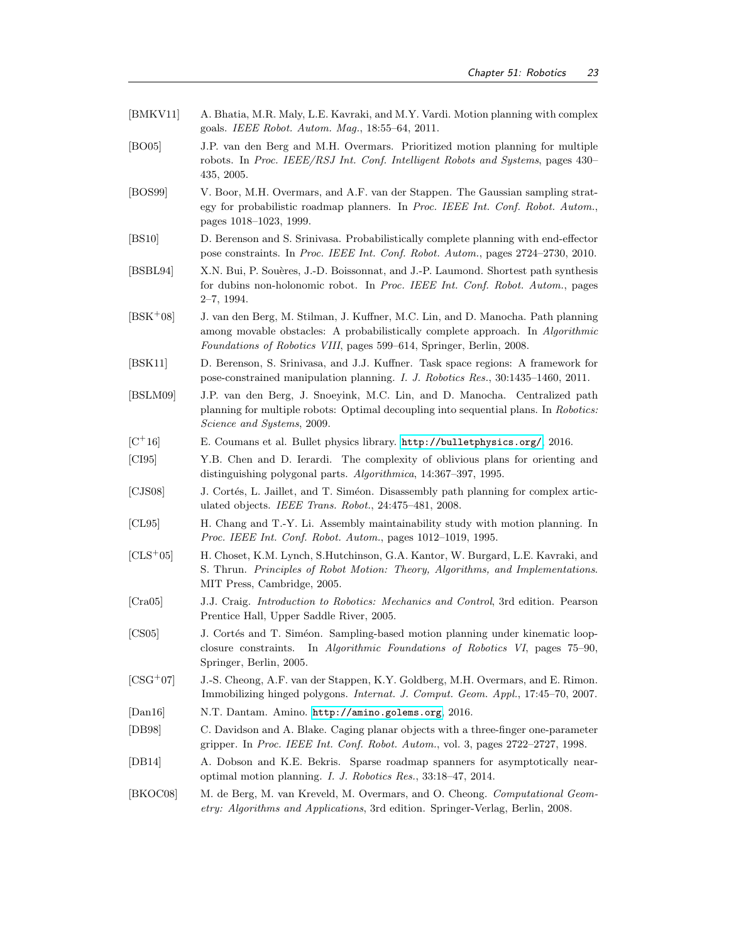- <span id="page-22-9"></span>[BMKV11] A. Bhatia, M.R. Maly, L.E. Kavraki, and M.Y. Vardi. Motion planning with complex goals. IEEE Robot. Autom. Mag., 18:55–64, 2011.
- <span id="page-22-6"></span>[BO05] J.P. van den Berg and M.H. Overmars. Prioritized motion planning for multiple robots. In Proc. IEEE/RSJ Int. Conf. Intelligent Robots and Systems, pages 430– 435, 2005.
- <span id="page-22-4"></span>[BOS99] V. Boor, M.H. Overmars, and A.F. van der Stappen. The Gaussian sampling strategy for probabilistic roadmap planners. In Proc. IEEE Int. Conf. Robot. Autom., pages 1018–1023, 1999.
- <span id="page-22-13"></span>[BS10] D. Berenson and S. Srinivasa. Probabilistically complete planning with end-effector pose constraints. In Proc. IEEE Int. Conf. Robot. Autom., pages 2724–2730, 2010.
- <span id="page-22-10"></span>[BSBL94] X.N. Bui, P. Souères, J.-D. Boissonnat, and J.-P. Laumond. Shortest path synthesis for dubins non-holonomic robot. In Proc. IEEE Int. Conf. Robot. Autom., pages 2–7, 1994.
- <span id="page-22-8"></span>[BSK<sup>+</sup>08] J. van den Berg, M. Stilman, J. Kuffner, M.C. Lin, and D. Manocha. Path planning among movable obstacles: A probabilistically complete approach. In Algorithmic Foundations of Robotics VIII, pages 599–614, Springer, Berlin, 2008.
- <span id="page-22-11"></span>[BSK11] D. Berenson, S. Srinivasa, and J.J. Kuffner. Task space regions: A framework for pose-constrained manipulation planning. I. J. Robotics Res., 30:1435–1460, 2011.
- <span id="page-22-7"></span>[BSLM09] J.P. van den Berg, J. Snoeyink, M.C. Lin, and D. Manocha. Centralized path planning for multiple robots: Optimal decoupling into sequential plans. In Robotics: Science and Systems, 2009.
- <span id="page-22-15"></span> $[C+16]$  E. Coumans et al. Bullet physics library. <http://bulletphysics.org/>, 2016.
- <span id="page-22-2"></span>[CI95] Y.B. Chen and D. Ierardi. The complexity of oblivious plans for orienting and distinguishing polygonal parts. Algorithmica, 14:367–397, 1995.
- <span id="page-22-3"></span>[CJS08] J. Cortés, L. Jaillet, and T. Siméon. Disassembly path planning for complex articulated objects. IEEE Trans. Robot., 24:475–481, 2008.
- <span id="page-22-16"></span>[CL95] H. Chang and T.-Y. Li. Assembly maintainability study with motion planning. In Proc. IEEE Int. Conf. Robot. Autom., pages 1012–1019, 1995.
- <span id="page-22-18"></span>[CLS<sup>+</sup>05] H. Choset, K.M. Lynch, S.Hutchinson, G.A. Kantor, W. Burgard, L.E. Kavraki, and S. Thrun. Principles of Robot Motion: Theory, Algorithms, and Implementations. MIT Press, Cambridge, 2005.
- <span id="page-22-17"></span>[Cra05] J.J. Craig. Introduction to Robotics: Mechanics and Control, 3rd edition. Pearson Prentice Hall, Upper Saddle River, 2005.
- <span id="page-22-12"></span>[CS05] J. Cortés and T. Siméon. Sampling-based motion planning under kinematic loopclosure constraints. In Algorithmic Foundations of Robotics VI, pages 75–90, Springer, Berlin, 2005.
- <span id="page-22-1"></span>[CSG<sup>+</sup>07] J.-S. Cheong, A.F. van der Stappen, K.Y. Goldberg, M.H. Overmars, and E. Rimon. Immobilizing hinged polygons. Internat. J. Comput. Geom. Appl., 17:45–70, 2007.
- <span id="page-22-14"></span>[Dan16] N.T. Dantam. Amino. <http://amino.golems.org>, 2016.
- <span id="page-22-0"></span>[DB98] C. Davidson and A. Blake. Caging planar objects with a three-finger one-parameter gripper. In Proc. IEEE Int. Conf. Robot. Autom., vol. 3, pages 2722–2727, 1998.
- <span id="page-22-5"></span>[DB14] A. Dobson and K.E. Bekris. Sparse roadmap spanners for asymptotically nearoptimal motion planning. I. J. Robotics Res., 33:18–47, 2014.

<span id="page-22-19"></span>[BKOC08] M. de Berg, M. van Kreveld, M. Overmars, and O. Cheong. Computational Geometry: Algorithms and Applications, 3rd edition. Springer-Verlag, Berlin, 2008.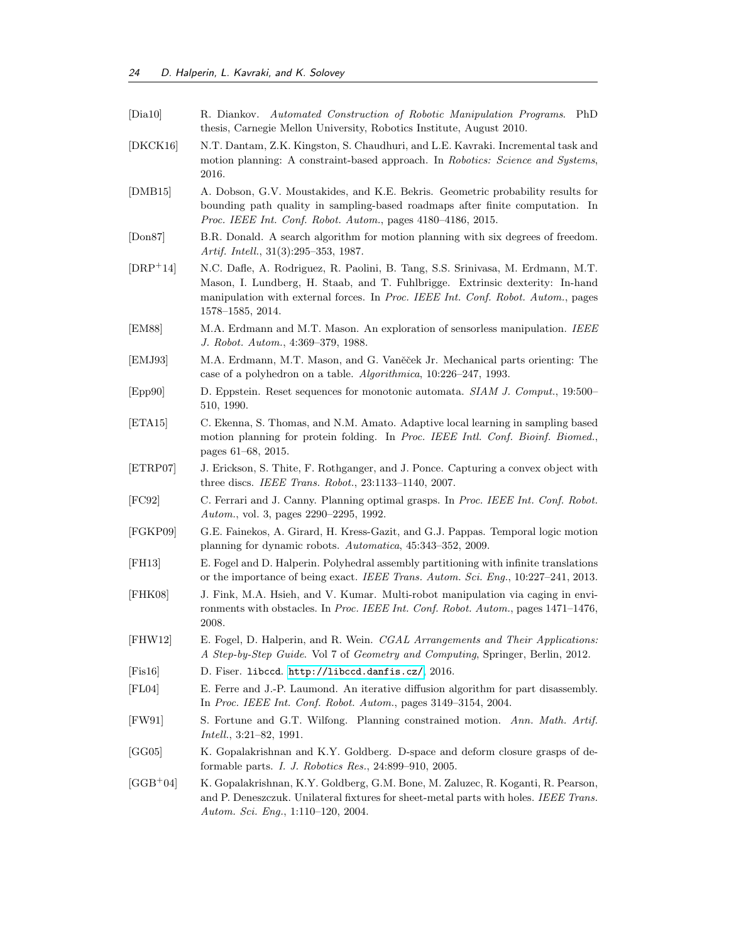<span id="page-23-19"></span><span id="page-23-18"></span><span id="page-23-17"></span><span id="page-23-16"></span><span id="page-23-15"></span><span id="page-23-14"></span><span id="page-23-13"></span><span id="page-23-12"></span><span id="page-23-11"></span><span id="page-23-10"></span><span id="page-23-9"></span><span id="page-23-8"></span><span id="page-23-7"></span><span id="page-23-6"></span><span id="page-23-5"></span><span id="page-23-4"></span><span id="page-23-3"></span><span id="page-23-2"></span><span id="page-23-1"></span><span id="page-23-0"></span>

| [Dia10]           | R. Diankov. Automated Construction of Robotic Manipulation Programs. PhD<br>thesis, Carnegie Mellon University, Robotics Institute, August 2010.                                                                                                                         |
|-------------------|--------------------------------------------------------------------------------------------------------------------------------------------------------------------------------------------------------------------------------------------------------------------------|
| [DKCK16]          | N.T. Dantam, Z.K. Kingston, S. Chaudhuri, and L.E. Kavraki. Incremental task and<br>motion planning: A constraint-based approach. In Robotics: Science and Systems,<br>2016.                                                                                             |
| [DMB15]           | A. Dobson, G.V. Moustakides, and K.E. Bekris. Geometric probability results for<br>bounding path quality in sampling-based roadmaps after finite computation. In<br>Proc. IEEE Int. Conf. Robot. Autom., pages 4180-4186, 2015.                                          |
| [Don 87]          | B.R. Donald. A search algorithm for motion planning with six degrees of freedom.<br>Artif. Intell., 31(3):295-353, 1987.                                                                                                                                                 |
| $[DRP^+14]$       | N.C. Dafle, A. Rodriguez, R. Paolini, B. Tang, S.S. Srinivasa, M. Erdmann, M.T.<br>Mason, I. Lundberg, H. Staab, and T. Fuhlbrigge. Extrinsic dexterity: In-hand<br>manipulation with external forces. In Proc. IEEE Int. Conf. Robot. Autom., pages<br>1578-1585, 2014. |
| [EM88]            | M.A. Erdmann and M.T. Mason. An exploration of sensorless manipulation. IEEE<br>J. Robot. Autom., 4:369–379, 1988.                                                                                                                                                       |
| [EMJ93]           | M.A. Erdmann, M.T. Mason, and G. Vaněček Jr. Mechanical parts orienting: The<br>case of a polyhedron on a table. Algorithmica, 10:226-247, 1993.                                                                                                                         |
| [Epp90]           | D. Eppstein. Reset sequences for monotonic automata. SIAM J. Comput., 19:500-<br>510, 1990.                                                                                                                                                                              |
| [ETA15]           | C. Ekenna, S. Thomas, and N.M. Amato. Adaptive local learning in sampling based<br>motion planning for protein folding. In Proc. IEEE Intl. Conf. Bioinf. Biomed.,<br>pages 61–68, 2015.                                                                                 |
| ETRP07            | J. Erickson, S. Thite, F. Rothganger, and J. Ponce. Capturing a convex object with<br>three discs. IEEE Trans. Robot., 23:1133-1140, 2007.                                                                                                                               |
| $[{\rm FC92}]$    | C. Ferrari and J. Canny. Planning optimal grasps. In <i>Proc. IEEE Int. Conf. Robot.</i><br>Autom., vol. 3, pages 2290–2295, 1992.                                                                                                                                       |
| [FGKP09]          | G.E. Fainekos, A. Girard, H. Kress-Gazit, and G.J. Pappas. Temporal logic motion<br>planning for dynamic robots. Automatica, 45:343-352, 2009.                                                                                                                           |
| [FH13]            | E. Fogel and D. Halperin. Polyhedral assembly partitioning with infinite translations<br>or the importance of being exact. IEEE Trans. Autom. Sci. Eng., 10:227-241, 2013.                                                                                               |
| [FHK08]           | J. Fink, M.A. Hsieh, and V. Kumar. Multi-robot manipulation via caging in envi-<br>ronments with obstacles. In <i>Proc. IEEE Int. Conf. Robot. Autom.</i> , pages 1471–1476,<br>2008.                                                                                    |
| [FHW12]           | E. Fogel, D. Halperin, and R. Wein. CGAL Arrangements and Their Applications:<br>A Step-by-Step Guide. Vol 7 of Geometry and Computing, Springer, Berlin, 2012.                                                                                                          |
| $[{\rm Fis16}]$   | D. Fiser. libccd. http://libccd.danfis.cz/, 2016.                                                                                                                                                                                                                        |
| [FL04]            | E. Ferre and J.-P. Laumond. An iterative diffusion algorithm for part disassembly.<br>In Proc. IEEE Int. Conf. Robot. Autom., pages 3149–3154, 2004.                                                                                                                     |
| $[\mathrm{FW91}]$ | S. Fortune and G.T. Wilfong. Planning constrained motion. Ann. Math. Artif.<br>$Intell., 3:21-82, 1991.$                                                                                                                                                                 |
| $[\mathrm{GG05}]$ | K. Gopalakrishnan and K.Y. Goldberg. D-space and deform closure grasps of de-<br>formable parts. I. J. Robotics Res., 24:899-910, 2005.                                                                                                                                  |
| $[GGB+04]$        | K. Gopalakrishnan, K.Y. Goldberg, G.M. Bone, M. Zaluzec, R. Koganti, R. Pearson,<br>and P. Deneszczuk. Unilateral fixtures for sheet-metal parts with holes. IEEE Trans.<br>Autom. Sci. Eng., 1:110-120, 2004.                                                           |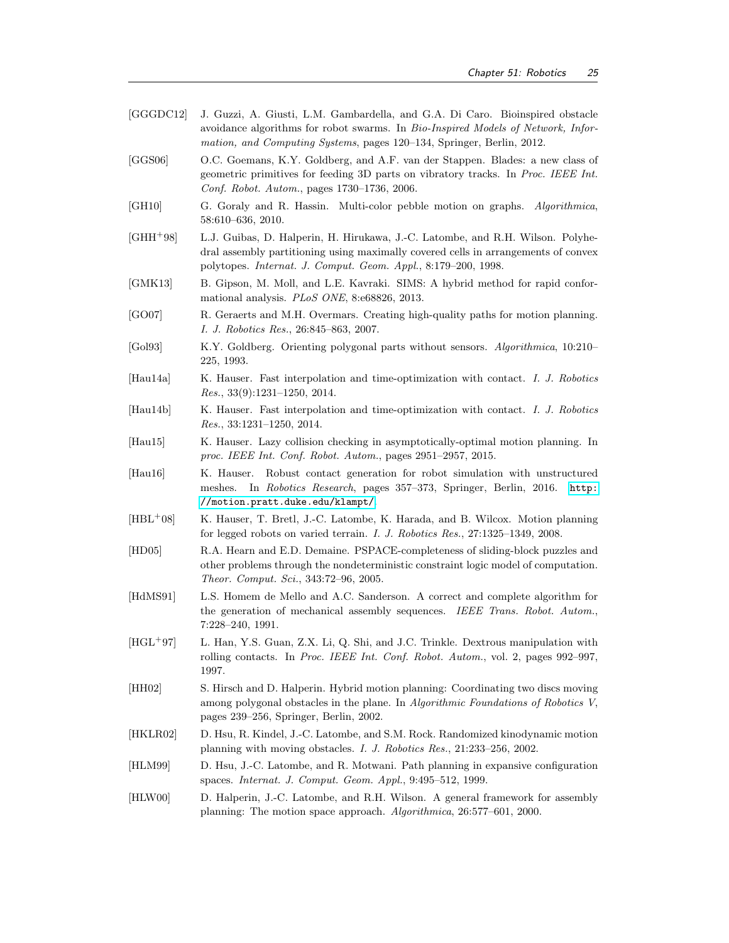<span id="page-24-18"></span><span id="page-24-17"></span><span id="page-24-16"></span><span id="page-24-15"></span><span id="page-24-14"></span><span id="page-24-13"></span><span id="page-24-12"></span><span id="page-24-11"></span><span id="page-24-10"></span><span id="page-24-9"></span><span id="page-24-8"></span><span id="page-24-7"></span><span id="page-24-6"></span><span id="page-24-5"></span><span id="page-24-4"></span><span id="page-24-3"></span><span id="page-24-2"></span><span id="page-24-1"></span><span id="page-24-0"></span>[GGGDC12] J. Guzzi, A. Giusti, L.M. Gambardella, and G.A. Di Caro. Bioinspired obstacle avoidance algorithms for robot swarms. In Bio-Inspired Models of Network, Information, and Computing Systems, pages 120–134, Springer, Berlin, 2012. [GGS06] O.C. Goemans, K.Y. Goldberg, and A.F. van der Stappen. Blades: a new class of geometric primitives for feeding 3D parts on vibratory tracks. In Proc. IEEE Int. Conf. Robot. Autom., pages 1730–1736, 2006. [GH10] G. Goraly and R. Hassin. Multi-color pebble motion on graphs. Algorithmica, 58:610–636, 2010. [GHH<sup>+</sup>98] L.J. Guibas, D. Halperin, H. Hirukawa, J.-C. Latombe, and R.H. Wilson. Polyhedral assembly partitioning using maximally covered cells in arrangements of convex polytopes. Internat. J. Comput. Geom. Appl., 8:179–200, 1998. [GMK13] B. Gipson, M. Moll, and L.E. Kavraki. SIMS: A hybrid method for rapid conformational analysis. PLoS ONE, 8:e68826, 2013. [GO07] R. Geraerts and M.H. Overmars. Creating high-quality paths for motion planning. I. J. Robotics Res., 26:845–863, 2007. [Gol93] K.Y. Goldberg. Orienting polygonal parts without sensors. Algorithmica, 10:210– 225, 1993. [Hau14a] K. Hauser. Fast interpolation and time-optimization with contact. I. J. Robotics Res., 33(9):1231–1250, 2014. [Hau14b] K. Hauser. Fast interpolation and time-optimization with contact. I. J. Robotics Res., 33:1231–1250, 2014. [Hau15] K. Hauser. Lazy collision checking in asymptotically-optimal motion planning. In proc. IEEE Int. Conf. Robot. Autom., pages 2951–2957, 2015. [Hau16] K. Hauser. Robust contact generation for robot simulation with unstructured meshes. In Robotics Research, pages 357–373, Springer, Berlin, 2016. [http:](http://motion.pratt.duke.edu/klampt/) [//motion.pratt.duke.edu/klampt/](http://motion.pratt.duke.edu/klampt/). [HBL<sup>+</sup>08] K. Hauser, T. Bretl, J.-C. Latombe, K. Harada, and B. Wilcox. Motion planning for legged robots on varied terrain. I. J. Robotics Res., 27:1325–1349, 2008. [HD05] R.A. Hearn and E.D. Demaine. PSPACE-completeness of sliding-block puzzles and other problems through the nondeterministic constraint logic model of computation. Theor. Comput. Sci., 343:72–96, 2005. [HdMS91] L.S. Homem de Mello and A.C. Sanderson. A correct and complete algorithm for the generation of mechanical assembly sequences. IEEE Trans. Robot. Autom., 7:228–240, 1991. [HGL<sup>+</sup>97] L. Han, Y.S. Guan, Z.X. Li, Q. Shi, and J.C. Trinkle. Dextrous manipulation with rolling contacts. In Proc. IEEE Int. Conf. Robot. Autom., vol. 2, pages 992–997, 1997. [HH02] S. Hirsch and D. Halperin. Hybrid motion planning: Coordinating two discs moving among polygonal obstacles in the plane. In Algorithmic Foundations of Robotics V, pages 239–256, Springer, Berlin, 2002. [HKLR02] D. Hsu, R. Kindel, J.-C. Latombe, and S.M. Rock. Randomized kinodynamic motion planning with moving obstacles. I. J. Robotics Res., 21:233–256, 2002. [HLM99] D. Hsu, J.-C. Latombe, and R. Motwani. Path planning in expansive configuration spaces. Internat. J. Comput. Geom. Appl., 9:495–512, 1999. [HLW00] D. Halperin, J.-C. Latombe, and R.H. Wilson. A general framework for assembly planning: The motion space approach. Algorithmica, 26:577–601, 2000.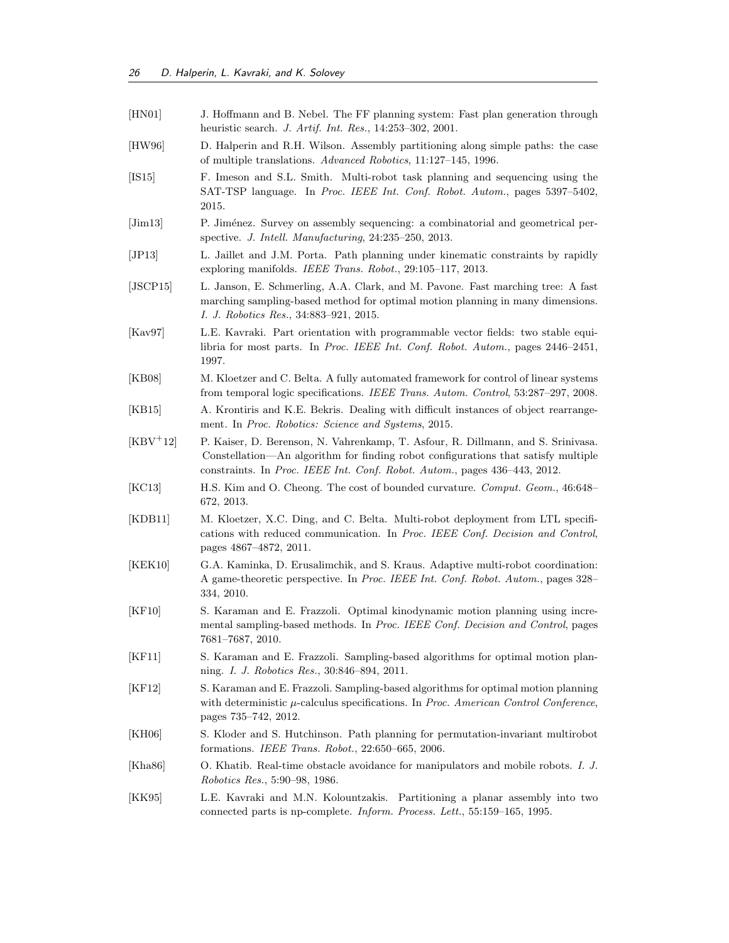<span id="page-25-18"></span><span id="page-25-17"></span><span id="page-25-16"></span><span id="page-25-15"></span><span id="page-25-14"></span><span id="page-25-13"></span><span id="page-25-12"></span><span id="page-25-11"></span><span id="page-25-10"></span><span id="page-25-9"></span><span id="page-25-8"></span><span id="page-25-7"></span><span id="page-25-6"></span><span id="page-25-5"></span><span id="page-25-4"></span><span id="page-25-3"></span><span id="page-25-2"></span><span id="page-25-1"></span><span id="page-25-0"></span>

| [HM01]           | J. Hoffmann and B. Nebel. The FF planning system: Fast plan generation through<br>heuristic search. J. Artif. Int. Res., 14:253-302, 2001.                                                                                                         |
|------------------|----------------------------------------------------------------------------------------------------------------------------------------------------------------------------------------------------------------------------------------------------|
| [HW96]           | D. Halperin and R.H. Wilson. Assembly partitioning along simple paths: the case<br>of multiple translations. Advanced Robotics, 11:127-145, 1996.                                                                                                  |
| [IS15]           | F. Imeson and S.L. Smith. Multi-robot task planning and sequencing using the<br>SAT-TSP language. In <i>Proc. IEEE Int. Conf. Robot. Autom.</i> , pages 5397–5402,<br>2015.                                                                        |
| $[\text{Jim}13]$ | P. Jiménez. Survey on assembly sequencing: a combinatorial and geometrical per-<br>spective. J. Intell. Manufacturing, 24:235-250, 2013.                                                                                                           |
| [JP13]           | L. Jaillet and J.M. Porta. Path planning under kinematic constraints by rapidly<br>exploring manifolds. IEEE Trans. Robot., 29:105-117, 2013.                                                                                                      |
| [JSCP15]         | L. Janson, E. Schmerling, A.A. Clark, and M. Pavone. Fast marching tree: A fast<br>marching sampling-based method for optimal motion planning in many dimensions.<br><i>I. J. Robotics Res.</i> , 34:883-921, 2015.                                |
| [Kav97]          | L.E. Kavraki. Part orientation with programmable vector fields: two stable equi-<br>libria for most parts. In <i>Proc. IEEE Int. Conf. Robot. Autom.</i> , pages 2446–2451,<br>1997.                                                               |
| [KB08]           | M. Kloetzer and C. Belta. A fully automated framework for control of linear systems<br>from temporal logic specifications. IEEE Trans. Autom. Control, 53:287-297, 2008.                                                                           |
| [KB15]           | A. Krontiris and K.E. Bekris. Dealing with difficult instances of object rearrange-<br>ment. In Proc. Robotics: Science and Systems, 2015.                                                                                                         |
| $[KBV+12]$       | P. Kaiser, D. Berenson, N. Vahrenkamp, T. Asfour, R. Dillmann, and S. Srinivasa.<br>Constellation—An algorithm for finding robot configurations that satisfy multiple<br>constraints. In Proc. IEEE Int. Conf. Robot. Autom., pages 436–443, 2012. |
| [KC13]           | H.S. Kim and O. Cheong. The cost of bounded curvature. Comput. Geom., 46:648–<br>672, 2013.                                                                                                                                                        |
| [KDB11]          | M. Kloetzer, X.C. Ding, and C. Belta. Multi-robot deployment from LTL specifi-<br>cations with reduced communication. In Proc. IEEE Conf. Decision and Control,<br>pages 4867-4872, 2011.                                                          |
| KEK10            | G.A. Kaminka, D. Erusalimchik, and S. Kraus. Adaptive multi-robot coordination:<br>A game-theoretic perspective. In Proc. IEEE Int. Conf. Robot. Autom., pages 328–<br>334, 2010.                                                                  |
| [KF10]           | S. Karaman and E. Frazzoli. Optimal kinodynamic motion planning using incre-<br>mental sampling-based methods. In Proc. IEEE Conf. Decision and Control, pages<br>7681–7687, 2010.                                                                 |
| [KF11]           | S. Karaman and E. Frazzoli. Sampling-based algorithms for optimal motion plan-<br>ning. I. J. Robotics Res., 30:846-894, 2011.                                                                                                                     |
| [KF12]           | S. Karaman and E. Frazzoli. Sampling-based algorithms for optimal motion planning<br>with deterministic $\mu$ -calculus specifications. In <i>Proc. American Control Conference</i> ,<br>pages 735–742, 2012.                                      |
| [KH06]           | S. Kloder and S. Hutchinson. Path planning for permutation-invariant multirobot<br>formations. IEEE Trans. Robot., 22:650-665, 2006.                                                                                                               |
| [Kha $86$ ]      | O. Khatib. Real-time obstacle avoidance for manipulators and mobile robots. I. J.<br><i>Robotics Res.</i> , 5:90–98, 1986.                                                                                                                         |
| [KK95]           | L.E. Kavraki and M.N. Kolountzakis. Partitioning a planar assembly into two<br>connected parts is np-complete. <i>Inform. Process. Lett.</i> , 55:159–165, 1995.                                                                                   |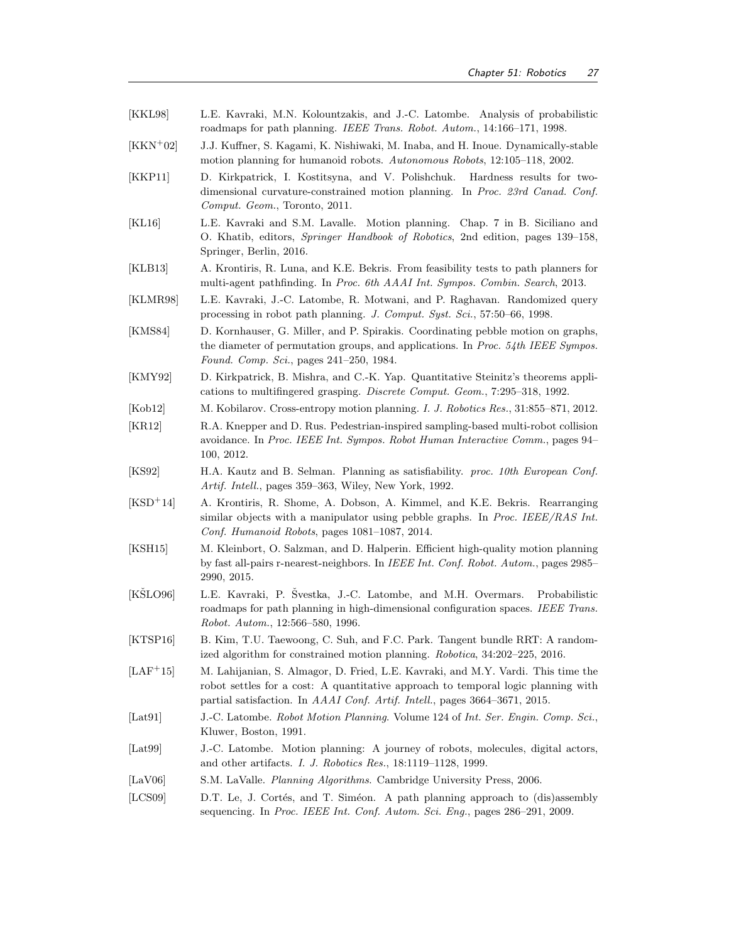- <span id="page-26-5"></span>[KKL98] L.E. Kavraki, M.N. Kolountzakis, and J.-C. Latombe. Analysis of probabilistic roadmaps for path planning. IEEE Trans. Robot. Autom., 14:166–171, 1998.
- <span id="page-26-15"></span>[KKN<sup>+</sup>02] J.J. Kuffner, S. Kagami, K. Nishiwaki, M. Inaba, and H. Inoue. Dynamically-stable motion planning for humanoid robots. Autonomous Robots, 12:105–118, 2002.
- <span id="page-26-14"></span>[KKP11] D. Kirkpatrick, I. Kostitsyna, and V. Polishchuk. Hardness results for twodimensional curvature-constrained motion planning. In Proc. 23rd Canad. Conf. Comput. Geom., Toronto, 2011.
- <span id="page-26-3"></span>[KL16] L.E. Kavraki and S.M. Lavalle. Motion planning. Chap. 7 in B. Siciliano and O. Khatib, editors, Springer Handbook of Robotics, 2nd edition, pages 139–158, Springer, Berlin, 2016.
- <span id="page-26-10"></span>[KLB13] A. Krontiris, R. Luna, and K.E. Bekris. From feasibility tests to path planners for multi-agent pathfinding. In Proc. 6th AAAI Int. Sympos. Combin. Search, 2013.
- <span id="page-26-4"></span>[KLMR98] L.E. Kavraki, J.-C. Latombe, R. Motwani, and P. Raghavan. Randomized query processing in robot path planning. J. Comput. Syst. Sci., 57:50–66, 1998.
- <span id="page-26-9"></span>[KMS84] D. Kornhauser, G. Miller, and P. Spirakis. Coordinating pebble motion on graphs, the diameter of permutation groups, and applications. In Proc. 54th IEEE Sympos. Found. Comp. Sci., pages 241–250, 1984.
- <span id="page-26-0"></span>[KMY92] D. Kirkpatrick, B. Mishra, and C.-K. Yap. Quantitative Steinitz's theorems applications to multifingered grasping. Discrete Comput. Geom., 7:295–318, 1992.
- <span id="page-26-7"></span>[Kob12] M. Kobilarov. Cross-entropy motion planning. I. J. Robotics Res., 31:855–871, 2012.
- <span id="page-26-8"></span>[KR12] R.A. Knepper and D. Rus. Pedestrian-inspired sampling-based multi-robot collision avoidance. In Proc. IEEE Int. Sympos. Robot Human Interactive Comm., pages 94– 100, 2012.
- <span id="page-26-12"></span>[KS92] H.A. Kautz and B. Selman. Planning as satisfiability. proc. 10th European Conf. Artif. Intell., pages 359–363, Wiley, New York, 1992.
- <span id="page-26-11"></span> $[KSD<sup>+</sup>14]$  A. Krontiris, R. Shome, A. Dobson, A. Kimmel, and K.E. Bekris. Rearranging similar objects with a manipulator using pebble graphs. In Proc. IEEE/RAS Int. Conf. Humanoid Robots, pages 1081–1087, 2014.
- <span id="page-26-6"></span>[KSH15] M. Kleinbort, O. Salzman, and D. Halperin. Efficient high-quality motion planning by fast all-pairs r-nearest-neighbors. In IEEE Int. Conf. Robot. Autom., pages 2985– 2990, 2015.
- <span id="page-26-2"></span>[KŠLO96] L.E. Kavraki, P. Švestka, J.-C. Latombe, and M.H. Overmars. Probabilistic roadmaps for path planning in high-dimensional configuration spaces. IEEE Trans. Robot. Autom., 12:566–580, 1996.
- <span id="page-26-16"></span>[KTSP16] B. Kim, T.U. Taewoong, C. Suh, and F.C. Park. Tangent bundle RRT: A randomized algorithm for constrained motion planning. Robotica, 34:202–225, 2016.
- <span id="page-26-13"></span>[LAF<sup>+</sup>15] M. Lahijanian, S. Almagor, D. Fried, L.E. Kavraki, and M.Y. Vardi. This time the robot settles for a cost: A quantitative approach to temporal logic planning with partial satisfaction. In AAAI Conf. Artif. Intell., pages 3664–3671, 2015.
- <span id="page-26-18"></span>[Lat91] J.-C. Latombe. Robot Motion Planning. Volume 124 of Int. Ser. Engin. Comp. Sci., Kluwer, Boston, 1991.
- <span id="page-26-17"></span>[Lat99] J.-C. Latombe. Motion planning: A journey of robots, molecules, digital actors, and other artifacts. I. J. Robotics Res., 18:1119–1128, 1999.
- <span id="page-26-19"></span>[LaV06] S.M. LaValle. Planning Algorithms. Cambridge University Press, 2006.
- <span id="page-26-1"></span>[LCS09] D.T. Le, J. Cortés, and T. Siméon. A path planning approach to (dis)assembly sequencing. In Proc. IEEE Int. Conf. Autom. Sci. Eng., pages 286–291, 2009.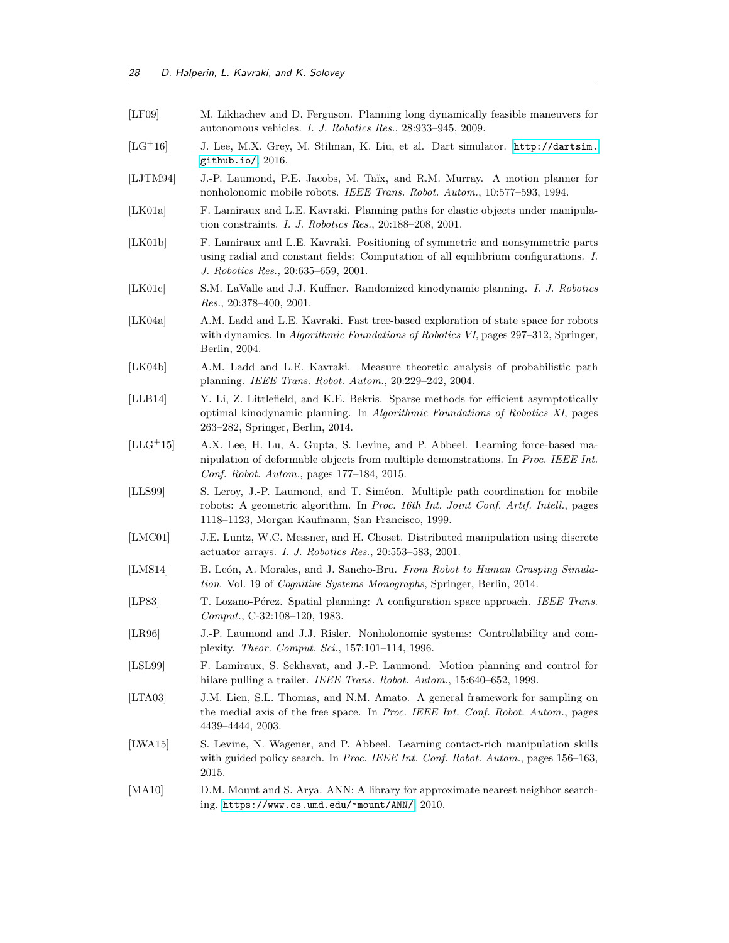<span id="page-27-18"></span><span id="page-27-17"></span><span id="page-27-16"></span><span id="page-27-15"></span><span id="page-27-14"></span><span id="page-27-13"></span><span id="page-27-12"></span><span id="page-27-11"></span><span id="page-27-10"></span><span id="page-27-9"></span><span id="page-27-8"></span><span id="page-27-7"></span><span id="page-27-6"></span><span id="page-27-5"></span><span id="page-27-4"></span><span id="page-27-3"></span><span id="page-27-2"></span><span id="page-27-1"></span><span id="page-27-0"></span>

| [LF09]            | M. Likhachev and D. Ferguson. Planning long dynamically feasible maneuvers for<br>autonomous vehicles. I. J. Robotics Res., 28:933-945, 2009.                                                                            |
|-------------------|--------------------------------------------------------------------------------------------------------------------------------------------------------------------------------------------------------------------------|
| $[LG^+16]$        | J. Lee, M.X. Grey, M. Stilman, K. Liu, et al. Dart simulator. http://dartsim.<br>$g$ ithub.io/, 2016.                                                                                                                    |
| [LJTM94]          | J.-P. Laumond, P.E. Jacobs, M. Taïx, and R.M. Murray. A motion planner for<br>nonholonomic mobile robots. IEEE Trans. Robot. Autom., 10:577-593, 1994.                                                                   |
| [LK01a]           | F. Lamiraux and L.E. Kavraki. Planning paths for elastic objects under manipula-<br>tion constraints. $I. J. Robotics Res., 20:188-208, 2001.$                                                                           |
| $[\text{LK01b}]$  | F. Lamiraux and L.E. Kavraki. Positioning of symmetric and nonsymmetric parts<br>using radial and constant fields: Computation of all equilibrium configurations. I.<br>J. Robotics Res., 20:635–659, 2001.              |
| [LK01c]           | S.M. LaValle and J.J. Kuffner. Randomized kinodynamic planning. I. J. Robotics<br>$Res., 20:378-400, 2001.$                                                                                                              |
| [ $LK04a$ ]       | A.M. Ladd and L.E. Kavraki. Fast tree-based exploration of state space for robots<br>with dynamics. In <i>Algorithmic Foundations of Robotics VI</i> , pages 297–312, Springer,<br>Berlin, 2004.                         |
| [LK04b]           | A.M. Ladd and L.E. Kavraki. Measure theoretic analysis of probabilistic path<br>planning. IEEE Trans. Robot. Autom., 20:229-242, 2004.                                                                                   |
| [LLB14]           | Y. Li, Z. Littlefield, and K.E. Bekris. Sparse methods for efficient asymptotically<br>optimal kinodynamic planning. In Algorithmic Foundations of Robotics XI, pages<br>263-282, Springer, Berlin, 2014.                |
| $[LLG+15]$        | A.X. Lee, H. Lu, A. Gupta, S. Levine, and P. Abbeel. Learning force-based ma-<br>nipulation of deformable objects from multiple demonstrations. In Proc. IEEE Int.<br>Conf. Robot. Autom., pages 177-184, 2015.          |
| [LLS99]           | S. Leroy, J.-P. Laumond, and T. Siméon. Multiple path coordination for mobile<br>robots: A geometric algorithm. In Proc. 16th Int. Joint Conf. Artif. Intell., pages<br>1118–1123, Morgan Kaufmann, San Francisco, 1999. |
| [LMCO1]           | J.E. Luntz, W.C. Messner, and H. Choset. Distributed manipulation using discrete<br>actuator arrays. I. J. Robotics Res., 20:553-583, 2001.                                                                              |
| [LMS14]           | B. León, A. Morales, and J. Sancho-Bru. From Robot to Human Grasping Simula-<br>tion. Vol. 19 of Cognitive Systems Monographs, Springer, Berlin, 2014.                                                                   |
| [LP83]            | T. Lozano-Pérez. Spatial planning: A configuration space approach. IEEE Trans.<br>$Comput., C-32:108-120, 1983.$                                                                                                         |
| $[\mathrm{LR}96]$ | J.-P. Laumond and J.J. Risler. Nonholonomic systems: Controllability and com-<br>plexity. Theor. Comput. Sci., 157:101-114, 1996.                                                                                        |
| [LSL99]           | F. Lamiraux, S. Sekhavat, and J.-P. Laumond. Motion planning and control for<br>hilare pulling a trailer. IEEE Trans. Robot. Autom., 15:640-652, 1999.                                                                   |
| [LTA03]           | J.M. Lien, S.L. Thomas, and N.M. Amato. A general framework for sampling on<br>the medial axis of the free space. In Proc. IEEE Int. Conf. Robot. Autom., pages<br>4439-4444, 2003.                                      |
| [LWA15]           | S. Levine, N. Wagener, and P. Abbeel. Learning contact-rich manipulation skills<br>with guided policy search. In <i>Proc. IEEE Int. Conf. Robot. Autom.</i> , pages 156–163,<br>2015.                                    |
| [MA10]            | D.M. Mount and S. Arya. ANN: A library for approximate nearest neighbor search-<br>ing. https://www.cs.umd.edu/~mount/ANN/, 2010.                                                                                        |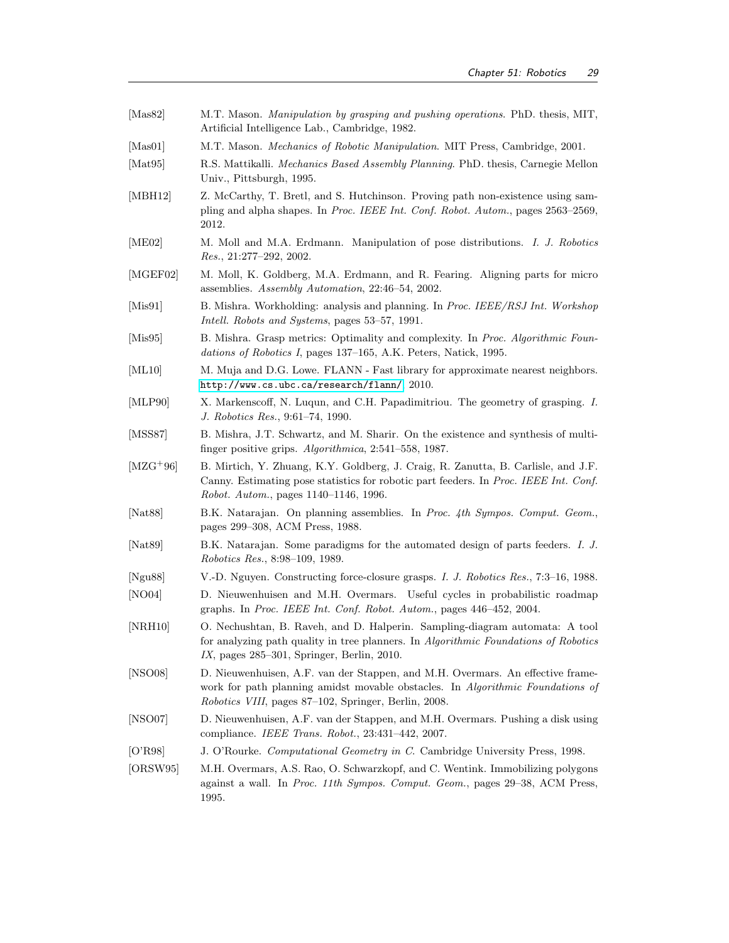- <span id="page-28-8"></span>[Mas82] M.T. Mason. *Manipulation by grasping and pushing operations*. PhD. thesis, MIT, Artificial Intelligence Lab., Cambridge, 1982.
- <span id="page-28-19"></span>[Mas01] M.T. Mason. *Mechanics of Robotic Manipulation*. MIT Press, Cambridge, 2001.
- <span id="page-28-6"></span>[Mat95] R.S. Mattikalli. Mechanics Based Assembly Planning. PhD. thesis, Carnegie Mellon Univ., Pittsburgh, 1995.
- <span id="page-28-13"></span>[MBH12] Z. McCarthy, T. Bretl, and S. Hutchinson. Proving path non-existence using sampling and alpha shapes. In Proc. IEEE Int. Conf. Robot. Autom., pages 2563–2569, 2012.
- <span id="page-28-11"></span>[ME02] M. Moll and M.A. Erdmann. Manipulation of pose distributions. I. J. Robotics Res., 21:277–292, 2002.
- <span id="page-28-9"></span>[MGEF02] M. Moll, K. Goldberg, M.A. Erdmann, and R. Fearing. Aligning parts for micro assemblies. Assembly Automation, 22:46–54, 2002.
- <span id="page-28-4"></span>[Mis91] B. Mishra. Workholding: analysis and planning. In Proc. IEEE/RSJ Int. Workshop Intell. Robots and Systems, pages 53–57, 1991.
- <span id="page-28-2"></span>[Mis95] B. Mishra. Grasp metrics: Optimality and complexity. In Proc. Algorithmic Foundations of Robotics I, pages 137–165, A.K. Peters, Natick, 1995.
- <span id="page-28-18"></span>[ML10] M. Muja and D.G. Lowe. FLANN - Fast library for approximate nearest neighbors. <http://www.cs.ubc.ca/research/flann/>, 2010.
- <span id="page-28-0"></span>[MLP90] X. Markenscoff, N. Luqun, and C.H. Papadimitriou. The geometry of grasping. I. J. Robotics Res., 9:61–74, 1990.
- <span id="page-28-1"></span>[MSS87] B. Mishra, J.T. Schwartz, and M. Sharir. On the existence and synthesis of multifinger positive grips. Algorithmica, 2:541–558, 1987.
- <span id="page-28-10"></span>[MZG<sup>+</sup>96] B. Mirtich, Y. Zhuang, K.Y. Goldberg, J. Craig, R. Zanutta, B. Carlisle, and J.F. Canny. Estimating pose statistics for robotic part feeders. In Proc. IEEE Int. Conf. Robot. Autom., pages 1140–1146, 1996.
- <span id="page-28-12"></span>[Nat88] B.K. Natarajan. On planning assemblies. In Proc. 4th Sympos. Comput. Geom., pages 299–308, ACM Press, 1988.
- <span id="page-28-7"></span>[Nat89] B.K. Natarajan. Some paradigms for the automated design of parts feeders. I. J. Robotics Res., 8:98–109, 1989.
- <span id="page-28-3"></span>[Ngu88] V.-D. Nguyen. Constructing force-closure grasps. I. J. Robotics Res., 7:3–16, 1988.
- <span id="page-28-14"></span>[NO04] D. Nieuwenhuisen and M.H. Overmars. Useful cycles in probabilistic roadmap graphs. In Proc. IEEE Int. Conf. Robot. Autom., pages 446–452, 2004.
- <span id="page-28-15"></span>[NRH10] O. Nechushtan, B. Raveh, and D. Halperin. Sampling-diagram automata: A tool for analyzing path quality in tree planners. In Algorithmic Foundations of Robotics IX, pages 285–301, Springer, Berlin, 2010.
- <span id="page-28-17"></span>[NSO08] D. Nieuwenhuisen, A.F. van der Stappen, and M.H. Overmars. An effective framework for path planning amidst movable obstacles. In *Algorithmic Foundations of* Robotics VIII, pages 87–102, Springer, Berlin, 2008.
- <span id="page-28-16"></span>[NSO07] D. Nieuwenhuisen, A.F. van der Stappen, and M.H. Overmars. Pushing a disk using compliance. IEEE Trans. Robot., 23:431–442, 2007.
- <span id="page-28-20"></span>[O'R98] J. O'Rourke. *Computational Geometry in C.* Cambridge University Press, 1998.
- <span id="page-28-5"></span>[ORSW95] M.H. Overmars, A.S. Rao, O. Schwarzkopf, and C. Wentink. Immobilizing polygons against a wall. In Proc. 11th Sympos. Comput. Geom., pages 29–38, ACM Press, 1995.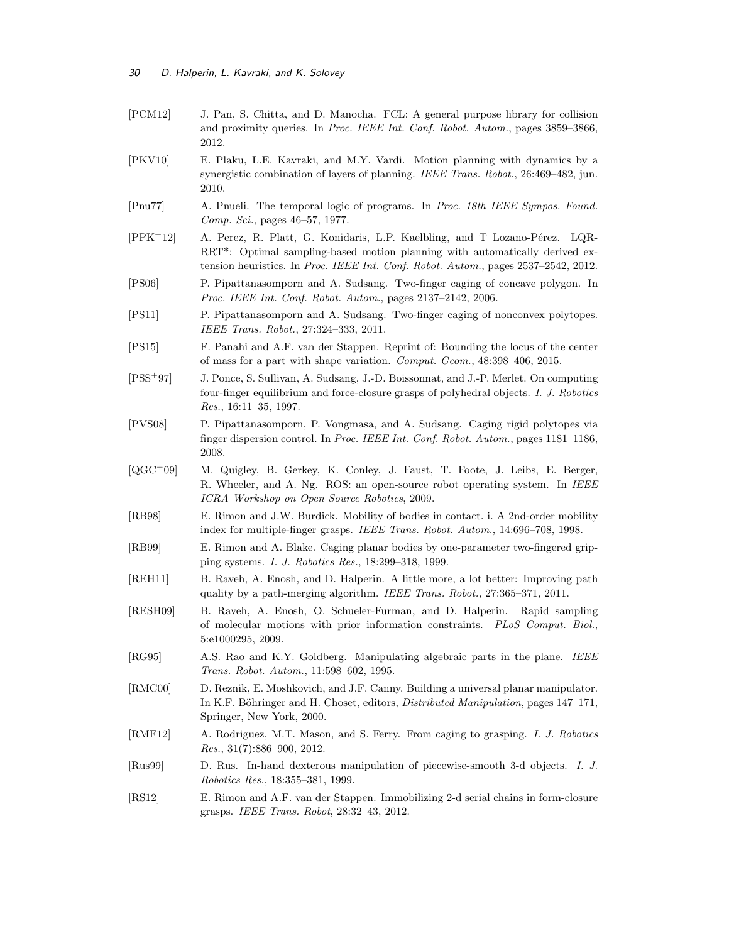<span id="page-29-18"></span><span id="page-29-17"></span><span id="page-29-16"></span><span id="page-29-15"></span><span id="page-29-14"></span><span id="page-29-13"></span><span id="page-29-12"></span><span id="page-29-11"></span><span id="page-29-10"></span><span id="page-29-9"></span><span id="page-29-8"></span><span id="page-29-7"></span><span id="page-29-6"></span><span id="page-29-5"></span><span id="page-29-4"></span><span id="page-29-3"></span><span id="page-29-2"></span><span id="page-29-1"></span><span id="page-29-0"></span>

| [PCM12]                 | J. Pan, S. Chitta, and D. Manocha. FCL: A general purpose library for collision<br>and proximity queries. In Proc. IEEE Int. Conf. Robot. Autom., pages 3859–3866,<br>2012.                                                                                     |
|-------------------------|-----------------------------------------------------------------------------------------------------------------------------------------------------------------------------------------------------------------------------------------------------------------|
| [PKV10]                 | E. Plaku, L.E. Kavraki, and M.Y. Vardi. Motion planning with dynamics by a<br>synergistic combination of layers of planning. IEEE Trans. Robot., 26:469-482, jun.<br>2010.                                                                                      |
| [Pnu77]                 | A. Pnueli. The temporal logic of programs. In <i>Proc. 18th IEEE Sympos. Found.</i><br>Comp. Sci., pages 46–57, 1977.                                                                                                                                           |
| $[PPK+12]$              | A. Perez, R. Platt, G. Konidaris, L.P. Kaelbling, and T Lozano-Pérez.<br>LQR-<br>RRT <sup>*</sup> : Optimal sampling-based motion planning with automatically derived ex-<br>tension heuristics. In Proc. IEEE Int. Conf. Robot. Autom., pages 2537-2542, 2012. |
| [PS06]                  | P. Pipattanasomporn and A. Sudsang. Two-finger caging of concave polygon. In<br>Proc. IEEE Int. Conf. Robot. Autom., pages 2137-2142, 2006.                                                                                                                     |
| $\left[$ PS11 $\right]$ | P. Pipattanasomporn and A. Sudsang. Two-finger caging of nonconvex polytopes.<br>IEEE Trans. Robot., 27:324-333, 2011.                                                                                                                                          |
| [PS15]                  | F. Panahi and A.F. van der Stappen. Reprint of: Bounding the locus of the center<br>of mass for a part with shape variation. Comput. Geom., 48:398-406, 2015.                                                                                                   |
| $[{\rm PSS^+97}]$       | J. Ponce, S. Sullivan, A. Sudsang, J.-D. Boissonnat, and J.-P. Merlet. On computing<br>four-finger equilibrium and force-closure grasps of polyhedral objects. I. J. Robotics<br><i>Res.</i> , $16:11-35$ , 1997.                                               |
| [PVS08]                 | P. Pipattanasomporn, P. Vongmasa, and A. Sudsang. Caging rigid polytopes via<br>finger dispersion control. In Proc. IEEE Int. Conf. Robot. Autom., pages 1181-1186,<br>2008.                                                                                    |
| $[QGC^+09]$             | M. Quigley, B. Gerkey, K. Conley, J. Faust, T. Foote, J. Leibs, E. Berger,<br>R. Wheeler, and A. Ng. ROS: an open-source robot operating system. In IEEE<br>ICRA Workshop on Open Source Robotics, 2009.                                                        |
| [RB98]                  | E. Rimon and J.W. Burdick. Mobility of bodies in contact. i. A 2nd-order mobility<br>index for multiple-finger grasps. IEEE Trans. Robot. Autom., 14:696–708, 1998.                                                                                             |
| [RB99]                  | E. Rimon and A. Blake. Caging planar bodies by one-parameter two-fingered grip-<br>ping systems. I. J. Robotics Res., 18:299-318, 1999.                                                                                                                         |
| [REH11]                 | B. Raveh, A. Enosh, and D. Halperin. A little more, a lot better: Improving path<br>quality by a path-merging algorithm. IEEE Trans. Robot., 27:365-371, 2011.                                                                                                  |
| [RESH09]                | B. Raveh, A. Enosh, O. Schueler-Furman, and D. Halperin.<br>Rapid sampling<br>of molecular motions with prior information constraints. PLoS Comput. Biol.,<br>5:e1000295, 2009.                                                                                 |
| [RG95]                  | A.S. Rao and K.Y. Goldberg. Manipulating algebraic parts in the plane. IEEE<br>Trans. Robot. Autom., 11:598-602, 1995.                                                                                                                                          |
| [RMCO0]                 | D. Reznik, E. Moshkovich, and J.F. Canny. Building a universal planar manipulator.<br>In K.F. Böhringer and H. Choset, editors, <i>Distributed Manipulation</i> , pages 147–171,<br>Springer, New York, 2000.                                                   |
| [RMF12]                 | A. Rodriguez, M.T. Mason, and S. Ferry. From caging to grasping. I. J. Robotics<br>$Res., 31(7):886-900, 2012.$                                                                                                                                                 |
| [Rus99]                 | D. Rus. In-hand dexterous manipulation of piecewise-smooth 3-d objects. I. J.<br><i>Robotics Res.</i> , 18:355–381, 1999.                                                                                                                                       |
| [RS12]                  | E. Rimon and A.F. van der Stappen. Immobilizing 2-d serial chains in form-closure<br>grasps. IEEE Trans. Robot, 28:32-43, 2012.                                                                                                                                 |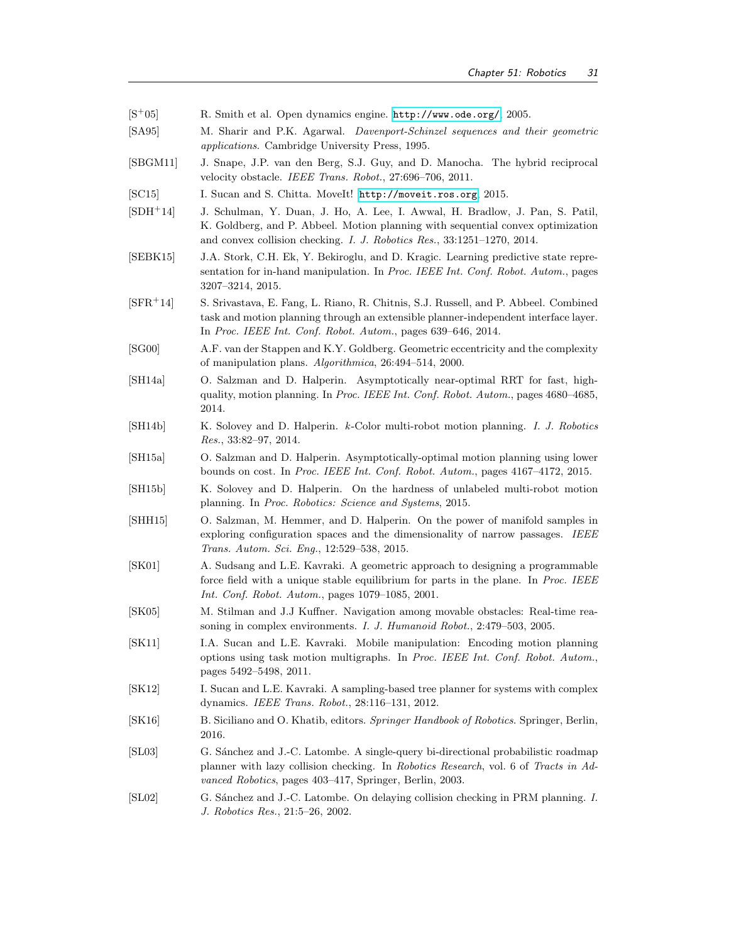- <span id="page-30-17"></span>[S<sup>+</sup>05] R. Smith et al. Open dynamics engine. <http://www.ode.org/>, 2005.
- <span id="page-30-19"></span>[SA95] M. Sharir and P.K. Agarwal. Davenport-Schinzel sequences and their geometric applications. Cambridge University Press, 1995.
- <span id="page-30-7"></span>[SBGM11] J. Snape, J.P. van den Berg, S.J. Guy, and D. Manocha. The hybrid reciprocal velocity obstacle. IEEE Trans. Robot., 27:696–706, 2011.
- <span id="page-30-16"></span>[SC15] I. Sucan and S. Chitta. MoveIt! <http://moveit.ros.org>, 2015.
- <span id="page-30-6"></span>[SDH<sup>+</sup>14] J. Schulman, Y. Duan, J. Ho, A. Lee, I. Awwal, H. Bradlow, J. Pan, S. Patil, K. Goldberg, and P. Abbeel. Motion planning with sequential convex optimization and convex collision checking. I. J. Robotics Res., 33:1251–1270, 2014.
- <span id="page-30-12"></span>[SEBK15] J.A. Stork, C.H. Ek, Y. Bekiroglu, and D. Kragic. Learning predictive state representation for in-hand manipulation. In Proc. IEEE Int. Conf. Robot. Autom., pages 3207–3214, 2015.
- <span id="page-30-14"></span>[SFR<sup>+</sup>14] S. Srivastava, E. Fang, L. Riano, R. Chitnis, S.J. Russell, and P. Abbeel. Combined task and motion planning through an extensible planner-independent interface layer. In Proc. IEEE Int. Conf. Robot. Autom., pages 639–646, 2014.
- <span id="page-30-0"></span>[SG00] A.F. van der Stappen and K.Y. Goldberg. Geometric eccentricity and the complexity of manipulation plans. Algorithmica, 26:494–514, 2000.
- <span id="page-30-5"></span>[SH14a] O. Salzman and D. Halperin. Asymptotically near-optimal RRT for fast, highquality, motion planning. In Proc. IEEE Int. Conf. Robot. Autom., pages 4680–4685, 2014.
- <span id="page-30-9"></span>[SH14b] K. Solovey and D. Halperin. k-Color multi-robot motion planning. I. J. Robotics Res., 33:82–97, 2014.
- <span id="page-30-4"></span>[SH15a] O. Salzman and D. Halperin. Asymptotically-optimal motion planning using lower bounds on cost. In Proc. IEEE Int. Conf. Robot. Autom., pages 4167–4172, 2015.
- <span id="page-30-10"></span>[SH15b] K. Solovey and D. Halperin. On the hardness of unlabeled multi-robot motion planning. In Proc. Robotics: Science and Systems, 2015.
- <span id="page-30-8"></span>[SHH15] O. Salzman, M. Hemmer, and D. Halperin. On the power of manifold samples in exploring configuration spaces and the dimensionality of narrow passages. IEEE Trans. Autom. Sci. Eng., 12:529–538, 2015.
- <span id="page-30-1"></span>[SK01] A. Sudsang and L.E. Kavraki. A geometric approach to designing a programmable force field with a unique stable equilibrium for parts in the plane. In Proc. IEEE Int. Conf. Robot. Autom., pages 1079–1085, 2001.
- <span id="page-30-11"></span>[SK05] M. Stilman and J.J Kuffner. Navigation among movable obstacles: Real-time reasoning in complex environments. I. J. Humanoid Robot., 2:479–503, 2005.
- <span id="page-30-13"></span>[SK11] I.A. Sucan and L.E. Kavraki. Mobile manipulation: Encoding motion planning options using task motion multigraphs. In Proc. IEEE Int. Conf. Robot. Autom., pages 5492–5498, 2011.
- <span id="page-30-15"></span>[SK12] I. Sucan and L.E. Kavraki. A sampling-based tree planner for systems with complex dynamics. IEEE Trans. Robot., 28:116–131, 2012.
- <span id="page-30-18"></span>[SK16] B. Siciliano and O. Khatib, editors. Springer Handbook of Robotics. Springer, Berlin, 2016.
- <span id="page-30-2"></span>[SL03] G. Sánchez and J.-C. Latombe. A single-query bi-directional probabilistic roadmap planner with lazy collision checking. In Robotics Research, vol. 6 of Tracts in Advanced Robotics, pages 403–417, Springer, Berlin, 2003.
- <span id="page-30-3"></span>[SL02] G. S´anchez and J.-C. Latombe. On delaying collision checking in PRM planning. I. J. Robotics Res., 21:5–26, 2002.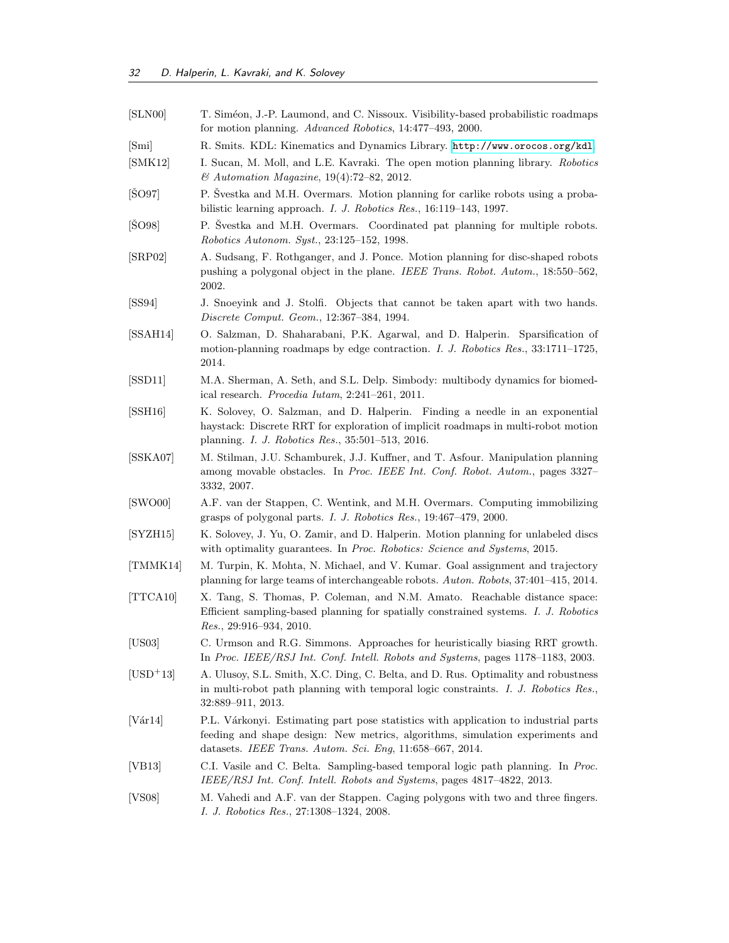<span id="page-31-19"></span><span id="page-31-18"></span><span id="page-31-17"></span><span id="page-31-16"></span><span id="page-31-15"></span><span id="page-31-14"></span><span id="page-31-13"></span><span id="page-31-12"></span><span id="page-31-11"></span><span id="page-31-10"></span><span id="page-31-9"></span><span id="page-31-8"></span><span id="page-31-7"></span><span id="page-31-6"></span><span id="page-31-5"></span><span id="page-31-4"></span><span id="page-31-3"></span><span id="page-31-2"></span><span id="page-31-1"></span><span id="page-31-0"></span>

| [SLN00]                     | T. Siméon, J.-P. Laumond, and C. Nissoux. Visibility-based probabilistic roadmaps<br>for motion planning. Advanced Robotics, 14:477-493, 2000.                                                                                         |
|-----------------------------|----------------------------------------------------------------------------------------------------------------------------------------------------------------------------------------------------------------------------------------|
| $[\text{Smi}]$              | R. Smits. KDL: Kinematics and Dynamics Library. http://www.orocos.org/kdl.                                                                                                                                                             |
| [SMK12]                     | I. Sucan, M. Moll, and L.E. Kavraki. The open motion planning library. Robotics<br>$\&$ Automation Magazine, 19(4):72-82, 2012.                                                                                                        |
| [ŠO97]                      | P. Svestka and M.H. Overmars. Motion planning for carlike robots using a proba-<br>bilistic learning approach. I. J. Robotics Res., 16:119–143, 1997.                                                                                  |
| [ŠO98]                      | P. Švestka and M.H. Overmars. Coordinated pat planning for multiple robots.<br><i>Robotics Autonom. Syst.</i> , 23:125-152, 1998.                                                                                                      |
| $\left[\text{SRP}02\right]$ | A. Sudsang, F. Rothganger, and J. Ponce. Motion planning for disc-shaped robots<br>pushing a polygonal object in the plane. IEEE Trans. Robot. Autom., 18:550-562,<br>2002.                                                            |
| SS94                        | J. Snoeyink and J. Stolfi. Objects that cannot be taken apart with two hands.<br>Discrete Comput. Geom., 12:367-384, 1994.                                                                                                             |
| [SSAH14]                    | O. Salzman, D. Shaharabani, P.K. Agarwal, and D. Halperin. Sparsification of<br>motion-planning roadmaps by edge contraction. I. J. Robotics Res., 33:1711-1725,<br>2014.                                                              |
| [SSD11]                     | M.A. Sherman, A. Seth, and S.L. Delp. Simbody: multibody dynamics for biomed-<br>ical research. <i>Procedia Iutam</i> , $2:241-261$ , $2011$ .                                                                                         |
| [ <b>SSH16</b> ]            | K. Solovey, O. Salzman, and D. Halperin. Finding a needle in an exponential<br>haystack: Discrete RRT for exploration of implicit roadmaps in multi-robot motion<br>planning. I. J. Robotics Res., 35:501-513, 2016.                   |
| [SSKA07]                    | M. Stilman, J.U. Schamburek, J.J. Kuffner, and T. Asfour. Manipulation planning<br>among movable obstacles. In <i>Proc. IEEE Int. Conf. Robot. Autom.</i> , pages 3327–<br>3332, 2007.                                                 |
| [SWO00]                     | A.F. van der Stappen, C. Wentink, and M.H. Overmars. Computing immobilizing<br>grasps of polygonal parts. $I. J. Robotics Res., 19:467-479, 2000.$                                                                                     |
| [SYZH15]                    | K. Solovey, J. Yu, O. Zamir, and D. Halperin. Motion planning for unlabeled discs<br>with optimality guarantees. In Proc. Robotics: Science and Systems, 2015.                                                                         |
| [TMMK14]                    | M. Turpin, K. Mohta, N. Michael, and V. Kumar. Goal assignment and trajectory<br>planning for large teams of interchangeable robots. Auton. Robots, 37:401-415, 2014.                                                                  |
| [TTCA10]                    | X. Tang, S. Thomas, P. Coleman, and N.M. Amato. Reachable distance space:<br>Efficient sampling-based planning for spatially constrained systems. I. J. Robotics<br>$Res., 29:916-934, 2010.$                                          |
| [US03]                      | C. Urmson and R.G. Simmons. Approaches for heuristically biasing RRT growth.<br>In Proc. IEEE/RSJ Int. Conf. Intell. Robots and Systems, pages 1178–1183, 2003.                                                                        |
| $[USD+13]$                  | A. Ulusoy, S.L. Smith, X.C. Ding, C. Belta, and D. Rus. Optimality and robustness<br>in multi-robot path planning with temporal logic constraints. I. J. Robotics Res.,<br>$32:889 - 911, 2013.$                                       |
| $[\text{Vár14}]$            | P.L. Várkonyi. Estimating part pose statistics with application to industrial parts<br>feeding and shape design: New metrics, algorithms, simulation experiments and<br>datasets. IEEE Trans. Autom. Sci. Eng, $11:658-667$ , $2014$ . |
| [VB13]                      | C.I. Vasile and C. Belta. Sampling-based temporal logic path planning. In Proc.<br>IEEE/RSJ Int. Conf. Intell. Robots and Systems, pages 4817–4822, 2013.                                                                              |
| [VS08]                      | M. Vahedi and A.F. van der Stappen. Caging polygons with two and three fingers.<br><i>I. J. Robotics Res.</i> , 27:1308-1324, 2008.                                                                                                    |